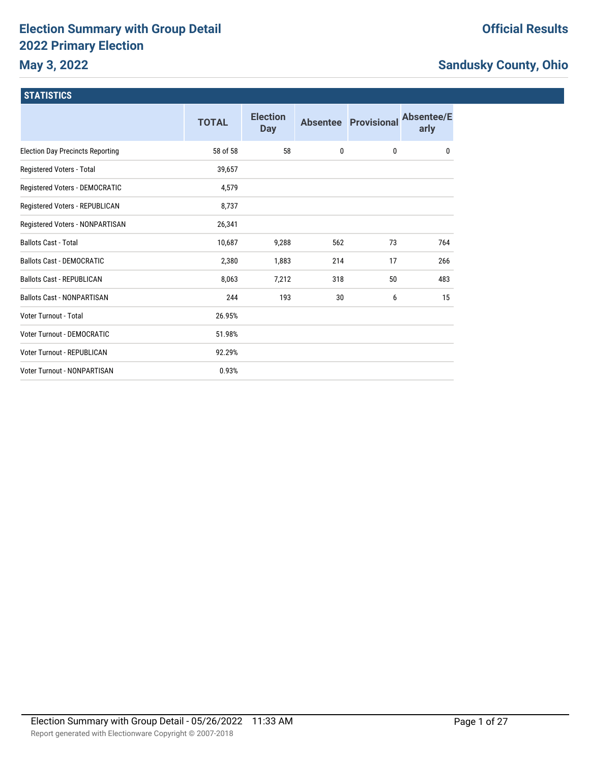# **Election Summary with Group Detail 2022 Primary Election**

# **May 3, 2022**

# **Official Results**

# **Sandusky County, Ohio**

| <b>STATISTICS</b>                       |              |                               |     |                             |                           |
|-----------------------------------------|--------------|-------------------------------|-----|-----------------------------|---------------------------|
|                                         | <b>TOTAL</b> | <b>Election</b><br><b>Day</b> |     | <b>Absentee Provisional</b> | <b>Absentee/E</b><br>arly |
| <b>Election Day Precincts Reporting</b> | 58 of 58     | 58                            | 0   | $\mathbf 0$                 | 0                         |
| Registered Voters - Total               | 39,657       |                               |     |                             |                           |
| Registered Voters - DEMOCRATIC          | 4,579        |                               |     |                             |                           |
| Registered Voters - REPUBLICAN          | 8,737        |                               |     |                             |                           |
| Registered Voters - NONPARTISAN         | 26,341       |                               |     |                             |                           |
| <b>Ballots Cast - Total</b>             | 10,687       | 9,288                         | 562 | 73                          | 764                       |
| <b>Ballots Cast - DEMOCRATIC</b>        | 2,380        | 1,883                         | 214 | 17                          | 266                       |
| <b>Ballots Cast - REPUBLICAN</b>        | 8,063        | 7,212                         | 318 | 50                          | 483                       |
| <b>Ballots Cast - NONPARTISAN</b>       | 244          | 193                           | 30  | 6                           | 15                        |
| Voter Turnout - Total                   | 26.95%       |                               |     |                             |                           |
| Voter Turnout - DEMOCRATIC              | 51.98%       |                               |     |                             |                           |
| Voter Turnout - REPUBLICAN              | 92.29%       |                               |     |                             |                           |
| Voter Turnout - NONPARTISAN             | 0.93%        |                               |     |                             |                           |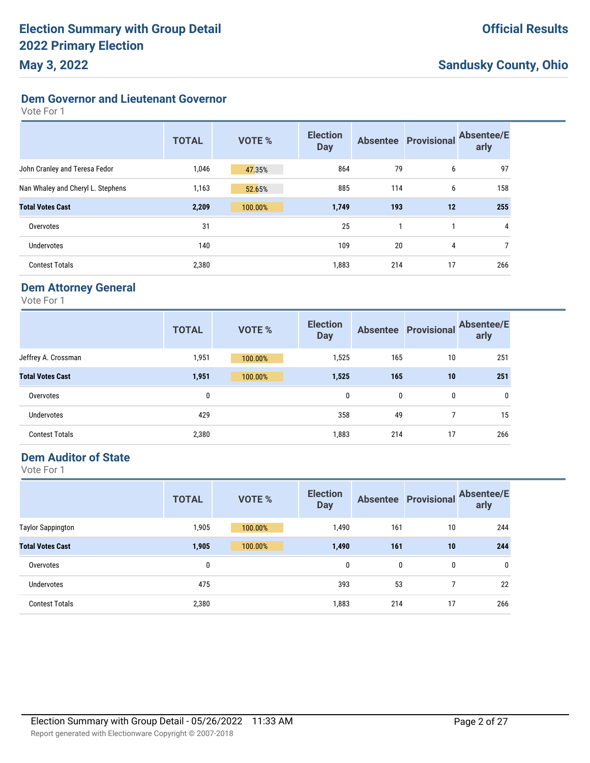**Dem Governor and Lieutenant Governor**

Vote For 1

|                                   | <b>TOTAL</b> | <b>VOTE %</b> | <b>Election</b><br><b>Day</b> |     | <b>Absentee Provisional</b> | <b>Absentee/E</b><br>arly |
|-----------------------------------|--------------|---------------|-------------------------------|-----|-----------------------------|---------------------------|
| John Cranley and Teresa Fedor     | 1,046        | 47.35%        | 864                           | 79  | 6                           | 97                        |
| Nan Whaley and Cheryl L. Stephens | 1,163        | 52.65%        | 885                           | 114 | 6                           | 158                       |
| <b>Total Votes Cast</b>           | 2,209        | 100.00%       | 1,749                         | 193 | 12                          | 255                       |
| Overvotes                         | 31           |               | 25                            |     |                             | 4                         |
| Undervotes                        | 140          |               | 109                           | 20  | 4                           | 7                         |
| <b>Contest Totals</b>             | 2,380        |               | 1,883                         | 214 | 17                          | 266                       |

### **Dem Attorney General**

Vote For 1

|                         | <b>TOTAL</b> | <b>VOTE %</b> | <b>Election</b><br><b>Day</b> |     | <b>Absentee Provisional</b> | <b>Absentee/E</b><br>arly |
|-------------------------|--------------|---------------|-------------------------------|-----|-----------------------------|---------------------------|
| Jeffrey A. Crossman     | 1,951        | 100.00%       | 1,525                         | 165 | 10                          | 251                       |
| <b>Total Votes Cast</b> | 1,951        | 100.00%       | 1,525                         | 165 | 10                          | 251                       |
| Overvotes               | 0            |               | 0                             | 0   | 0                           | $\mathbf{0}$              |
| <b>Undervotes</b>       | 429          |               | 358                           | 49  | 7                           | 15                        |
| <b>Contest Totals</b>   | 2,380        |               | 1,883                         | 214 | 17                          | 266                       |

#### **Dem Auditor of State**

|                          | <b>TOTAL</b> | <b>VOTE %</b> | <b>Election</b><br><b>Day</b> |     | <b>Absentee Provisional</b> | <b>Absentee/E</b><br>arly |
|--------------------------|--------------|---------------|-------------------------------|-----|-----------------------------|---------------------------|
| <b>Taylor Sappington</b> | 1,905        | 100.00%       | 1,490                         | 161 | 10                          | 244                       |
| <b>Total Votes Cast</b>  | 1,905        | 100.00%       | 1,490                         | 161 | 10                          | 244                       |
| Overvotes                | 0            |               | 0                             | 0   | 0                           | 0                         |
| <b>Undervotes</b>        | 475          |               | 393                           | 53  |                             | 22                        |
| <b>Contest Totals</b>    | 2,380        |               | 1,883                         | 214 | 17                          | 266                       |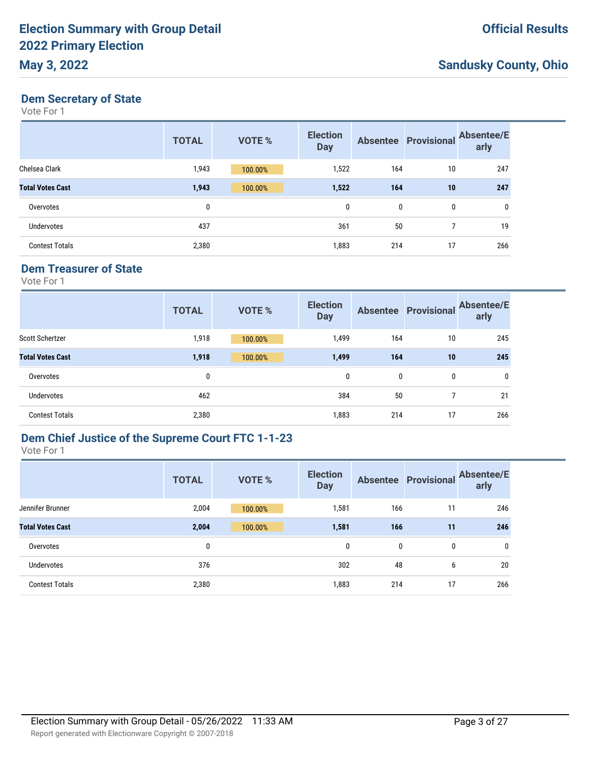# **May 3, 2022**

# **Sandusky County, Ohio**

#### **Dem Secretary of State**

Vote For 1

|                         | <b>TOTAL</b> | <b>VOTE %</b> | <b>Election</b><br><b>Day</b> |              | <b>Absentee Provisional</b> | <b>Absentee/E</b><br>arly |
|-------------------------|--------------|---------------|-------------------------------|--------------|-----------------------------|---------------------------|
| Chelsea Clark           | 1,943        | 100.00%       | 1,522                         | 164          | 10                          | 247                       |
| <b>Total Votes Cast</b> | 1,943        | 100.00%       | 1,522                         | 164          | 10                          | 247                       |
| Overvotes               | 0            |               | 0                             | $\mathbf{0}$ | 0                           | 0                         |
| <b>Undervotes</b>       | 437          |               | 361                           | 50           | 7                           | 19                        |
| <b>Contest Totals</b>   | 2,380        |               | 1,883                         | 214          | 17                          | 266                       |

#### **Dem Treasurer of State**

Vote For 1

|                         | <b>TOTAL</b> | <b>VOTE %</b> | <b>Election</b><br><b>Day</b> |              | <b>Absentee Provisional</b> | <b>Absentee/E</b><br>arly |
|-------------------------|--------------|---------------|-------------------------------|--------------|-----------------------------|---------------------------|
| <b>Scott Schertzer</b>  | 1,918        | 100.00%       | 1,499                         | 164          | 10                          | 245                       |
| <b>Total Votes Cast</b> | 1,918        | 100.00%       | 1,499                         | 164          | 10                          | 245                       |
| Overvotes               | 0            |               | 0                             | $\mathbf{0}$ | 0                           | 0                         |
| Undervotes              | 462          |               | 384                           | 50           | 7                           | 21                        |
| <b>Contest Totals</b>   | 2,380        |               | 1,883                         | 214          | 17                          | 266                       |

### **Dem Chief Justice of the Supreme Court FTC 1-1-23**

|                         | <b>TOTAL</b> | <b>VOTE %</b> | <b>Election</b><br><b>Day</b> |     | <b>Absentee Provisional</b> | <b>Absentee/E</b><br>arly |
|-------------------------|--------------|---------------|-------------------------------|-----|-----------------------------|---------------------------|
| Jennifer Brunner        | 2,004        | 100.00%       | 1,581                         | 166 | 11                          | 246                       |
| <b>Total Votes Cast</b> | 2,004        | 100.00%       | 1,581                         | 166 | 11                          | 246                       |
| Overvotes               | 0            |               | 0                             | 0   | 0                           | $\mathbf{0}$              |
| <b>Undervotes</b>       | 376          |               | 302                           | 48  | 6                           | 20                        |
| <b>Contest Totals</b>   | 2,380        |               | 1,883                         | 214 | 17                          | 266                       |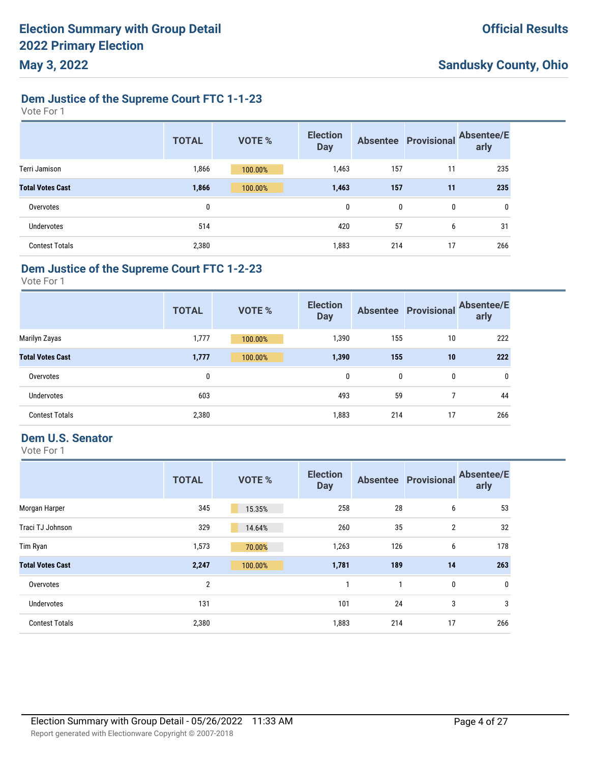#### **Dem Justice of the Supreme Court FTC 1-1-23**

Vote For 1

|                         | <b>TOTAL</b> | <b>VOTE %</b> | <b>Election</b><br><b>Day</b> | <b>Absentee</b> | <b>Provisional</b> | <b>Absentee/E</b><br>arly |
|-------------------------|--------------|---------------|-------------------------------|-----------------|--------------------|---------------------------|
| Terri Jamison           | 1,866        | 100.00%       | 1,463                         | 157             | 11                 | 235                       |
| <b>Total Votes Cast</b> | 1,866        | 100.00%       | 1,463                         | 157             | 11                 | 235                       |
| Overvotes               | 0            |               | 0                             | 0               | 0                  | 0                         |
| <b>Undervotes</b>       | 514          |               | 420                           | 57              | 6                  | 31                        |
| <b>Contest Totals</b>   | 2,380        |               | 1,883                         | 214             | 17                 | 266                       |

#### **Dem Justice of the Supreme Court FTC 1-2-23**

Vote For 1

|                         | <b>TOTAL</b> | <b>VOTE %</b> | <b>Election</b><br><b>Day</b> |     | <b>Absentee Provisional</b> | <b>Absentee/E</b><br>arly |
|-------------------------|--------------|---------------|-------------------------------|-----|-----------------------------|---------------------------|
| Marilyn Zayas           | 1,777        | 100.00%       | 1,390                         | 155 | 10                          | 222                       |
| <b>Total Votes Cast</b> | 1,777        | 100.00%       | 1,390                         | 155 | 10                          | 222                       |
| Overvotes               | 0            |               | 0                             | 0   | $\mathbf{0}$                | 0                         |
| <b>Undervotes</b>       | 603          |               | 493                           | 59  |                             | 44                        |
| <b>Contest Totals</b>   | 2,380        |               | 1,883                         | 214 | 17                          | 266                       |

### **Dem U.S. Senator**

|                         | <b>TOTAL</b>   | <b>VOTE %</b> | <b>Election</b><br><b>Day</b> |     | <b>Absentee Provisional</b> | <b>Absentee/E</b><br>arly |
|-------------------------|----------------|---------------|-------------------------------|-----|-----------------------------|---------------------------|
| Morgan Harper           | 345            | 15.35%        | 258                           | 28  | 6                           | 53                        |
| Traci TJ Johnson        | 329            | 14.64%        | 260                           | 35  | $\overline{2}$              | 32                        |
| Tim Ryan                | 1,573          | 70.00%        | 1,263                         | 126 | 6                           | 178                       |
| <b>Total Votes Cast</b> | 2,247          | 100.00%       | 1,781                         | 189 | 14                          | 263                       |
| Overvotes               | $\overline{2}$ |               |                               |     | $\mathbf 0$                 | 0                         |
| Undervotes              | 131            |               | 101                           | 24  | 3                           | 3                         |
| <b>Contest Totals</b>   | 2,380          |               | 1,883                         | 214 | 17                          | 266                       |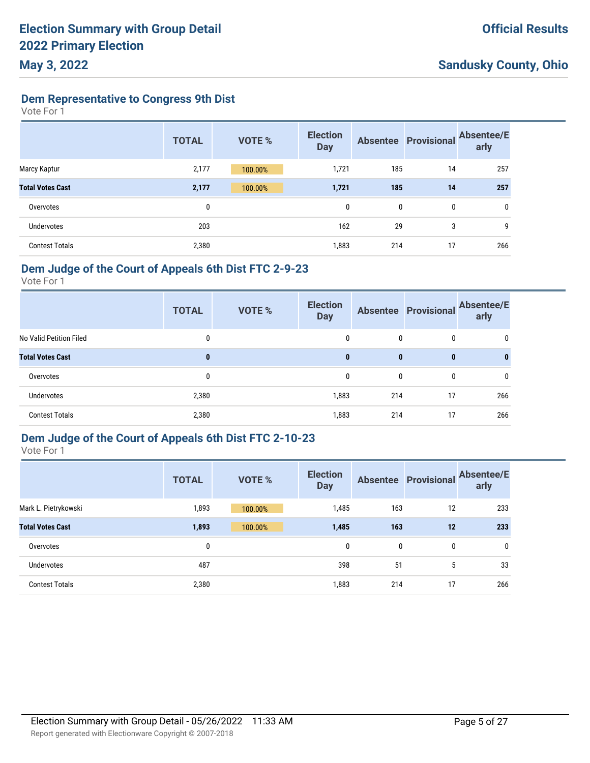**Dem Representative to Congress 9th Dist**

Vote For 1

|                         | <b>TOTAL</b> | <b>VOTE %</b> | <b>Election</b><br><b>Day</b> |     | <b>Absentee Provisional</b> | <b>Absentee/E</b><br>arly |
|-------------------------|--------------|---------------|-------------------------------|-----|-----------------------------|---------------------------|
| Marcy Kaptur            | 2,177        | 100.00%       | 1,721                         | 185 | 14                          | 257                       |
| <b>Total Votes Cast</b> | 2,177        | 100.00%       | 1,721                         | 185 | 14                          | 257                       |
| Overvotes               | 0            |               | 0                             | 0   | 0                           | 0                         |
| Undervotes              | 203          |               | 162                           | 29  | 3                           | 9                         |
| <b>Contest Totals</b>   | 2,380        |               | 1,883                         | 214 | 17                          | 266                       |

### **Dem Judge of the Court of Appeals 6th Dist FTC 2-9-23**

Vote For 1

|                         | <b>TOTAL</b> | <b>VOTE %</b> | <b>Election</b><br><b>Day</b> |              |              | Absentee Provisional Absentee/E<br>arly |
|-------------------------|--------------|---------------|-------------------------------|--------------|--------------|-----------------------------------------|
| No Valid Petition Filed | 0            |               | 0                             | 0            | 0            | 0                                       |
| <b>Total Votes Cast</b> | 0            |               | $\mathbf{0}$                  | $\mathbf{0}$ | $\mathbf{0}$ | 0                                       |
| Overvotes               | 0            |               | 0                             | 0            | $\mathbf{0}$ | 0                                       |
| <b>Undervotes</b>       | 2,380        |               | 1,883                         | 214          | 17           | 266                                     |
| <b>Contest Totals</b>   | 2,380        |               | 1,883                         | 214          | 17           | 266                                     |

### **Dem Judge of the Court of Appeals 6th Dist FTC 2-10-23**

Vote For 1

|                         | <b>TOTAL</b> | <b>VOTE %</b> | <b>Election</b><br><b>Day</b> |     | <b>Absentee Provisional</b> | <b>Absentee/E</b><br>arly |
|-------------------------|--------------|---------------|-------------------------------|-----|-----------------------------|---------------------------|
| Mark L. Pietrykowski    | 1,893        | 100.00%       | 1,485                         | 163 | 12                          | 233                       |
| <b>Total Votes Cast</b> | 1,893        | 100.00%       | 1,485                         | 163 | 12                          | 233                       |
| Overvotes               | 0            |               | 0                             | 0   | 0                           | $\mathbf{0}$              |
| Undervotes              | 487          |               | 398                           | 51  | 5                           | 33                        |
| <b>Contest Totals</b>   | 2,380        |               | 1,883                         | 214 | 17                          | 266                       |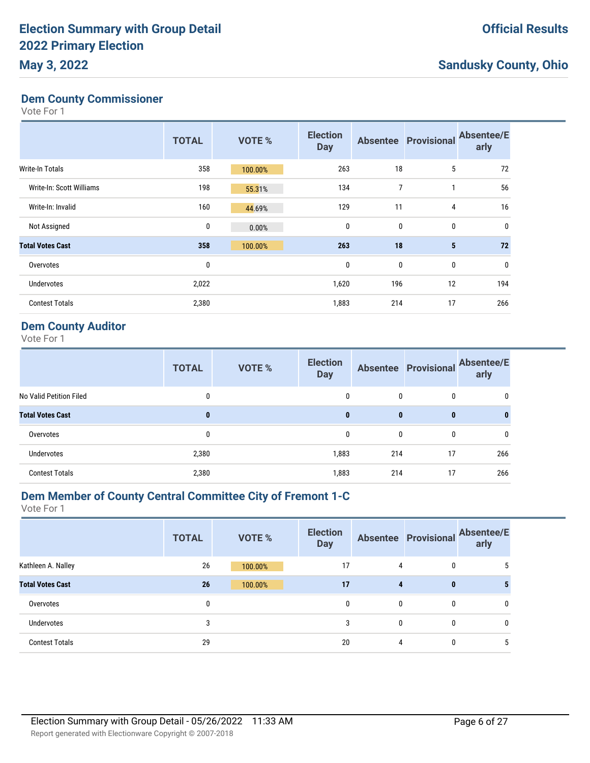#### **Dem County Commissioner**

Vote For 1

|                          | <b>TOTAL</b> | <b>VOTE %</b> | <b>Election</b><br><b>Day</b> |                | <b>Absentee Provisional</b> | <b>Absentee/E</b><br>arly |
|--------------------------|--------------|---------------|-------------------------------|----------------|-----------------------------|---------------------------|
| <b>Write-In Totals</b>   | 358          | 100.00%       | 263                           | 18             | 5                           | 72                        |
| Write-In: Scott Williams | 198          | 55.31%        | 134                           | $\overline{7}$ | 1                           | 56                        |
| Write-In: Invalid        | 160          | 44.69%        | 129                           | 11             | 4                           | 16                        |
| Not Assigned             | 0            | 0.00%         | $\mathbf 0$                   | 0              | $\mathbf 0$                 | 0                         |
| <b>Total Votes Cast</b>  | 358          | 100.00%       | 263                           | 18             | $5\phantom{.0}$             | 72                        |
| Overvotes                | 0            |               | 0                             | 0              | $\mathbf 0$                 | 0                         |
| <b>Undervotes</b>        | 2,022        |               | 1,620                         | 196            | 12                          | 194                       |
| <b>Contest Totals</b>    | 2,380        |               | 1,883                         | 214            | 17                          | 266                       |

#### **Dem County Auditor**

Vote For 1

|                         | <b>TOTAL</b> | <b>VOTE %</b> | <b>Election</b><br><b>Day</b> |              | <b>Absentee Provisional</b> | <b>Absentee/E</b><br>arly |
|-------------------------|--------------|---------------|-------------------------------|--------------|-----------------------------|---------------------------|
| No Valid Petition Filed | 0            |               | 0                             | 0            | 0                           | 0                         |
| <b>Total Votes Cast</b> | 0            |               | $\mathbf{0}$                  | $\bf{0}$     | $\bf{0}$                    | $\bf{0}$                  |
| Overvotes               | 0            |               | 0                             | $\mathbf{0}$ | $\mathbf{0}$                | 0                         |
| Undervotes              | 2,380        |               | 1,883                         | 214          | 17                          | 266                       |
| <b>Contest Totals</b>   | 2,380        |               | 1,883                         | 214          | 17                          | 266                       |

#### **Dem Member of County Central Committee City of Fremont 1-C**

| <b>TOTAL</b> | <b>VOTE %</b> | <b>Election</b><br><b>Day</b> |   |              | arly                            |
|--------------|---------------|-------------------------------|---|--------------|---------------------------------|
| 26           | 100.00%       | 17                            | 4 | 0            | 5                               |
| 26           | 100.00%       | 17                            | 4 | $\bf{0}$     |                                 |
| 0            |               | 0                             | 0 | 0            | 0                               |
| 3            |               | 3                             | 0 | $\mathbf{0}$ | 0                               |
| 29           |               | 20                            | 4 | 0            | 5                               |
|              |               |                               |   |              | Absentee Provisional Absentee/E |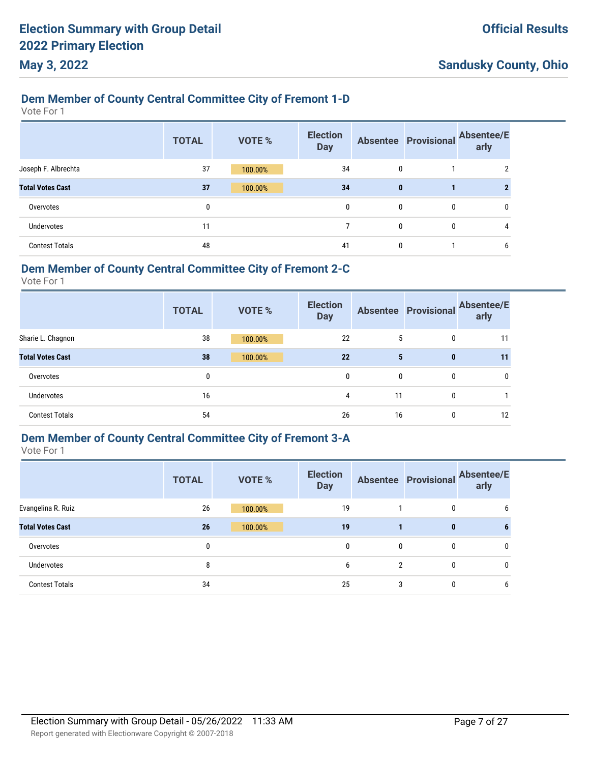### **Dem Member of County Central Committee City of Fremont 1-D**

Vote For 1

|                         | <b>TOTAL</b> | <b>VOTE %</b> | <b>Election</b><br><b>Day</b> |              | <b>Absentee Provisional</b> | <b>Absentee/E</b><br>arly |
|-------------------------|--------------|---------------|-------------------------------|--------------|-----------------------------|---------------------------|
| Joseph F. Albrechta     | 37           | 100.00%       | 34                            | 0            |                             |                           |
| <b>Total Votes Cast</b> | 37           | 100.00%       | 34                            | $\bf{0}$     |                             |                           |
| Overvotes               | 0            |               | 0                             | 0            | 0                           |                           |
| <b>Undervotes</b>       | 11           |               |                               | $\mathbf{0}$ | 0                           | 4                         |
| <b>Contest Totals</b>   | 48           |               | 41                            | 0            |                             |                           |

#### **Dem Member of County Central Committee City of Fremont 2-C**

Vote For 1

|                         | <b>TOTAL</b> | <b>VOTE %</b> | <b>Election</b><br><b>Day</b> |    |   | Absentee Provisional Absentee/E<br>arly |
|-------------------------|--------------|---------------|-------------------------------|----|---|-----------------------------------------|
| Sharie L. Chagnon       | 38           | 100.00%       | 22                            | 5  | 0 | 11                                      |
| <b>Total Votes Cast</b> | 38           | 100.00%       | 22                            | 5  | 0 | 11                                      |
| Overvotes               | 0            |               | 0                             | 0  | 0 | 0                                       |
| <b>Undervotes</b>       | 16           |               | 4                             | 11 | 0 |                                         |
| <b>Contest Totals</b>   | 54           |               | 26                            | 16 | 0 | 12                                      |

# **Dem Member of County Central Committee City of Fremont 3-A**

|                         | <b>TOTAL</b> | <b>VOTE %</b> | <b>Election</b><br><b>Day</b> |   | <b>Absentee Provisional</b> | <b>Absentee/E</b><br>arly |
|-------------------------|--------------|---------------|-------------------------------|---|-----------------------------|---------------------------|
| Evangelina R. Ruiz      | 26           | 100.00%       | 19                            |   | 0                           | 6                         |
| <b>Total Votes Cast</b> | 26           | 100.00%       | 19                            |   | $\bf{0}$                    | b                         |
| Overvotes               | 0            |               | 0                             | 0 | 0                           | 0                         |
| Undervotes              | 8            |               | 6                             | 2 | 0                           | 0                         |
| <b>Contest Totals</b>   | 34           |               | 25                            | 3 | 0                           | 6                         |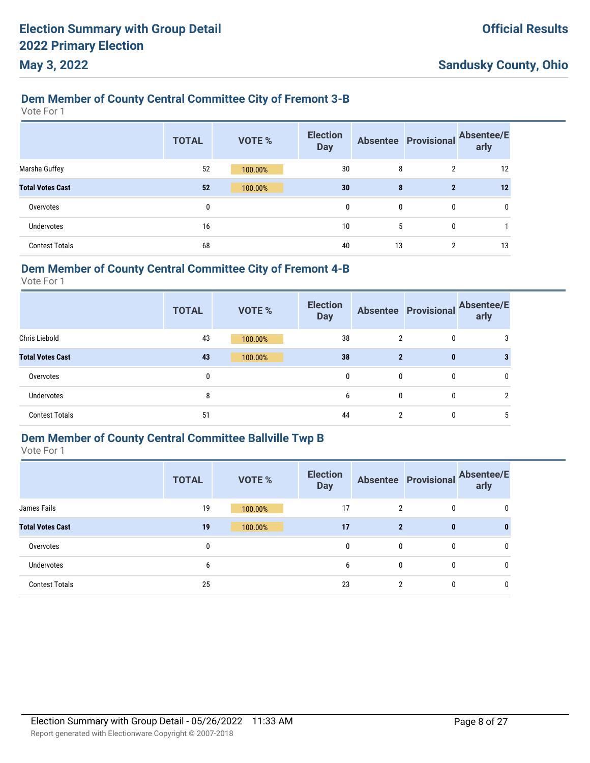### **Dem Member of County Central Committee City of Fremont 3-B**

Vote For 1

|                         | <b>TOTAL</b> | <b>VOTE %</b> | <b>Election</b><br><b>Day</b> |    | <b>Absentee Provisional</b> | <b>Absentee/E</b><br>arly |
|-------------------------|--------------|---------------|-------------------------------|----|-----------------------------|---------------------------|
| Marsha Guffey           | 52           | 100.00%       | 30                            | 8  | 2                           | 12                        |
| <b>Total Votes Cast</b> | 52           | 100.00%       | 30                            | 8  | $\mathbf{2}$                | 12                        |
| Overvotes               | 0            |               | $\mathbf{0}$                  | 0  | 0                           | 0                         |
| Undervotes              | 16           |               | 10                            | 5  | 0                           |                           |
| <b>Contest Totals</b>   | 68           |               | 40                            | 13 | $\overline{2}$              | 13                        |

#### **Dem Member of County Central Committee City of Fremont 4-B**

Vote For 1

|                         | <b>TOTAL</b> | <b>VOTE %</b> | <b>Election</b><br><b>Day</b> |              |          | Absentee Provisional Absentee/E<br>arly |
|-------------------------|--------------|---------------|-------------------------------|--------------|----------|-----------------------------------------|
| <b>Chris Liebold</b>    | 43           | 100.00%       | 38                            | 2            | 0        |                                         |
| <b>Total Votes Cast</b> | 43           | 100.00%       | 38                            | $\mathbf{2}$ | $\bf{0}$ |                                         |
| Overvotes               | 0            |               | 0                             | 0            | 0        |                                         |
| <b>Undervotes</b>       | 8            |               | 6                             | 0            | 0        | ↑                                       |
| <b>Contest Totals</b>   | 51           |               | 44                            | 2            | 0        |                                         |

# **Dem Member of County Central Committee Ballville Twp B**

|                         | <b>TOTAL</b> | <b>VOTE %</b> | <b>Election</b><br><b>Day</b> |                | <b>Absentee Provisional</b> | <b>Absentee/E</b><br>arly |
|-------------------------|--------------|---------------|-------------------------------|----------------|-----------------------------|---------------------------|
| James Fails             | 19           | 100.00%       | 17                            | $\overline{2}$ | $\mathbf{0}$                | 0                         |
| <b>Total Votes Cast</b> | 19           | 100.00%       | 17                            | $\mathbf{2}$   | $\bf{0}$                    | 0                         |
| Overvotes               | 0            |               | 0                             | 0              | 0                           | 0                         |
| <b>Undervotes</b>       | 6            |               | 6                             | 0              | 0                           | 0                         |
| <b>Contest Totals</b>   | 25           |               | 23                            | $\overline{2}$ | 0                           | 0                         |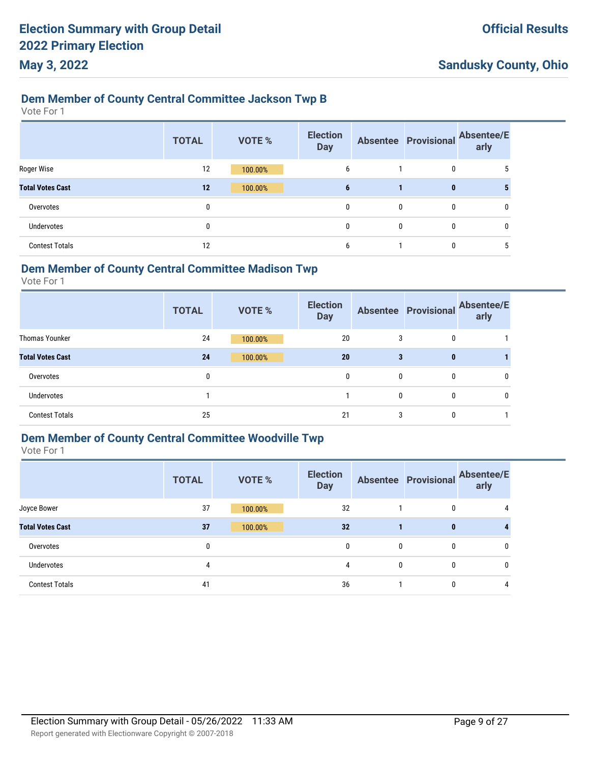# **Dem Member of County Central Committee Jackson Twp B**

Vote For 1

|                         | <b>TOTAL</b> | <b>VOTE %</b> | <b>Election</b><br><b>Day</b> |              | <b>Absentee Provisional</b> | <b>Absentee/E</b><br>arly |
|-------------------------|--------------|---------------|-------------------------------|--------------|-----------------------------|---------------------------|
| Roger Wise              | 12           | 100.00%       | 6                             |              | 0                           |                           |
| <b>Total Votes Cast</b> | 12           | 100.00%       | 6                             |              | $\bf{0}$                    |                           |
| Overvotes               | 0            |               | $\mathbf{0}$                  | $\mathbf{0}$ | $\mathbf{0}$                | 0                         |
| <b>Undervotes</b>       | 0            |               | $\mathbf{0}$                  | $\mathbf{0}$ | $\mathbf{0}$                | 0                         |
| <b>Contest Totals</b>   | 12           |               | 6                             |              | 0                           | b                         |

#### **Dem Member of County Central Committee Madison Twp**

Vote For 1

|                         | <b>TOTAL</b> | <b>VOTE %</b> | <b>Election</b><br><b>Day</b> |   |             | Absentee Provisional Absentee/E<br>arly |
|-------------------------|--------------|---------------|-------------------------------|---|-------------|-----------------------------------------|
| <b>Thomas Younker</b>   | 24           | 100.00%       | 20                            | 3 | 0           |                                         |
| <b>Total Votes Cast</b> | 24           | 100.00%       | 20                            | 3 | $\mathbf 0$ |                                         |
| Overvotes               | 0            |               | $\mathbf{0}$                  | 0 | 0           |                                         |
| Undervotes              |              |               |                               | 0 | 0           |                                         |
| <b>Contest Totals</b>   | 25           |               | 21                            | 3 | 0           |                                         |

# **Dem Member of County Central Committee Woodville Twp**

|                         | <b>TOTAL</b> | <b>VOTE %</b> | <b>Election</b><br><b>Day</b> |   | <b>Absentee Provisional</b> | <b>Absentee/E</b><br>arly |
|-------------------------|--------------|---------------|-------------------------------|---|-----------------------------|---------------------------|
| Joyce Bower             | 37           | 100.00%       | 32                            |   | 0                           | 4                         |
| <b>Total Votes Cast</b> | 37           | 100.00%       | 32                            |   | 0                           |                           |
| Overvotes               | 0            |               | 0                             | 0 | 0                           | 0                         |
| <b>Undervotes</b>       | 4            |               | 4                             | 0 | 0                           | 0                         |
| <b>Contest Totals</b>   | 41           |               | 36                            |   | 0                           | 4                         |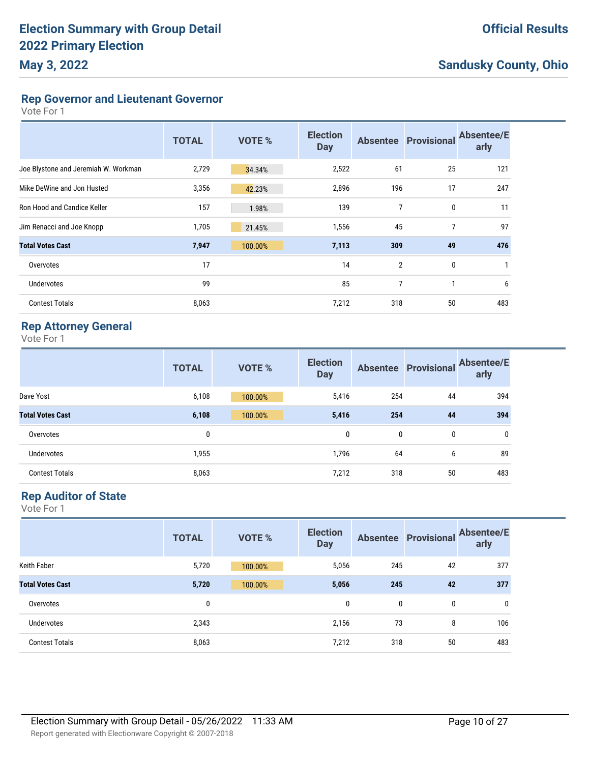**Rep Governor and Lieutenant Governor**

Vote For 1

|                                      | <b>TOTAL</b> | VOTE %  | <b>Election</b><br><b>Day</b> |                | <b>Absentee Provisional</b> | <b>Absentee/E</b><br>arly |
|--------------------------------------|--------------|---------|-------------------------------|----------------|-----------------------------|---------------------------|
| Joe Blystone and Jeremiah W. Workman | 2,729        | 34.34%  | 2,522                         | 61             | 25                          | 121                       |
| Mike DeWine and Jon Husted           | 3,356        | 42.23%  | 2,896                         | 196            | 17                          | 247                       |
| Ron Hood and Candice Keller          | 157          | 1.98%   | 139                           | 7              | $\mathbf{0}$                | 11                        |
| Jim Renacci and Joe Knopp            | 1,705        | 21.45%  | 1,556                         | 45             | 7                           | 97                        |
| <b>Total Votes Cast</b>              | 7,947        | 100.00% | 7,113                         | 309            | 49                          | 476                       |
| Overvotes                            | 17           |         | 14                            | $\overline{2}$ | 0                           | 1                         |
| <b>Undervotes</b>                    | 99           |         | 85                            | 7              | и                           | 6                         |
| <b>Contest Totals</b>                | 8,063        |         | 7,212                         | 318            | 50                          | 483                       |

#### **Rep Attorney General**

Vote For 1

|                         | <b>TOTAL</b> | <b>VOTE %</b> | <b>Election</b><br><b>Day</b> |     | <b>Absentee Provisional</b> | <b>Absentee/E</b><br>arly |
|-------------------------|--------------|---------------|-------------------------------|-----|-----------------------------|---------------------------|
| Dave Yost               | 6,108        | 100.00%       | 5,416                         | 254 | 44                          | 394                       |
| <b>Total Votes Cast</b> | 6,108        | 100.00%       | 5,416                         | 254 | 44                          | 394                       |
| Overvotes               | 0            |               | 0                             | 0   | 0                           | 0                         |
| <b>Undervotes</b>       | 1,955        |               | 1,796                         | 64  | 6                           | 89                        |
| <b>Contest Totals</b>   | 8,063        |               | 7,212                         | 318 | 50                          | 483                       |

#### **Rep Auditor of State**

|                         | <b>TOTAL</b> | <b>VOTE %</b> | <b>Election</b><br><b>Day</b> |              | <b>Absentee Provisional</b> | <b>Absentee/E</b><br>arly |
|-------------------------|--------------|---------------|-------------------------------|--------------|-----------------------------|---------------------------|
| <b>Keith Faber</b>      | 5,720        | 100.00%       | 5,056                         | 245          | 42                          | 377                       |
| <b>Total Votes Cast</b> | 5,720        | 100.00%       | 5,056                         | 245          | 42                          | 377                       |
| Overvotes               | 0            |               | 0                             | $\mathbf{0}$ | 0                           | 0                         |
| Undervotes              | 2,343        |               | 2,156                         | 73           | 8                           | 106                       |
| <b>Contest Totals</b>   | 8,063        |               | 7,212                         | 318          | 50                          | 483                       |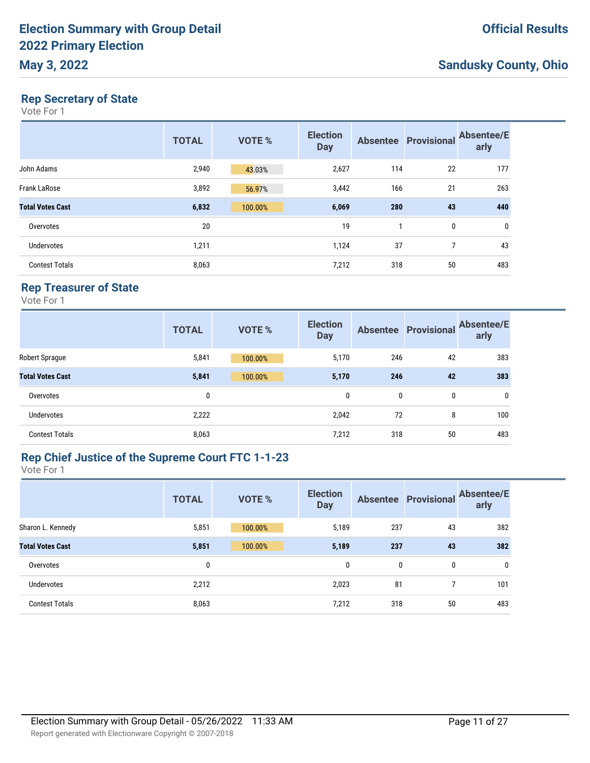#### **Rep Secretary of State**

Vote For 1

|                         | <b>TOTAL</b> | <b>VOTE %</b> | <b>Election</b><br><b>Day</b> |     | <b>Absentee Provisional</b> | <b>Absentee/E</b><br>arly |
|-------------------------|--------------|---------------|-------------------------------|-----|-----------------------------|---------------------------|
| John Adams              | 2,940        | 43.03%        | 2,627                         | 114 | 22                          | 177                       |
| <b>Frank LaRose</b>     | 3,892        | 56.97%        | 3,442                         | 166 | 21                          | 263                       |
| <b>Total Votes Cast</b> | 6,832        | 100.00%       | 6,069                         | 280 | 43                          | 440                       |
| Overvotes               | 20           |               | 19                            | 1   | 0                           | 0                         |
| Undervotes              | 1,211        |               | 1,124                         | 37  | 7                           | 43                        |
| <b>Contest Totals</b>   | 8,063        |               | 7,212                         | 318 | 50                          | 483                       |

### **Rep Treasurer of State**

Vote For 1

|                         | <b>TOTAL</b> | <b>VOTE %</b> | <b>Election</b><br><b>Day</b> |     | <b>Absentee Provisional</b> | <b>Absentee/E</b><br>arly |
|-------------------------|--------------|---------------|-------------------------------|-----|-----------------------------|---------------------------|
| Robert Sprague          | 5,841        | 100.00%       | 5,170                         | 246 | 42                          | 383                       |
| <b>Total Votes Cast</b> | 5,841        | 100.00%       | 5,170                         | 246 | 42                          | 383                       |
| Overvotes               | 0            |               | 0                             | 0   | 0                           | 0                         |
| Undervotes              | 2,222        |               | 2,042                         | 72  | 8                           | 100                       |
| <b>Contest Totals</b>   | 8,063        |               | 7,212                         | 318 | 50                          | 483                       |

#### **Rep Chief Justice of the Supreme Court FTC 1-1-23**

|                         | <b>TOTAL</b> | <b>VOTE %</b> | <b>Election</b><br><b>Day</b> |     |    | Absentee Provisional Absentee/E<br>arly |
|-------------------------|--------------|---------------|-------------------------------|-----|----|-----------------------------------------|
| Sharon L. Kennedy       | 5,851        | 100.00%       | 5,189                         | 237 | 43 | 382                                     |
| <b>Total Votes Cast</b> | 5,851        | 100.00%       | 5,189                         | 237 | 43 | 382                                     |
| Overvotes               | $\mathbf{0}$ |               | 0                             | 0   | 0  | 0                                       |
| Undervotes              | 2,212        |               | 2,023                         | 81  |    | 101                                     |
| <b>Contest Totals</b>   | 8,063        |               | 7,212                         | 318 | 50 | 483                                     |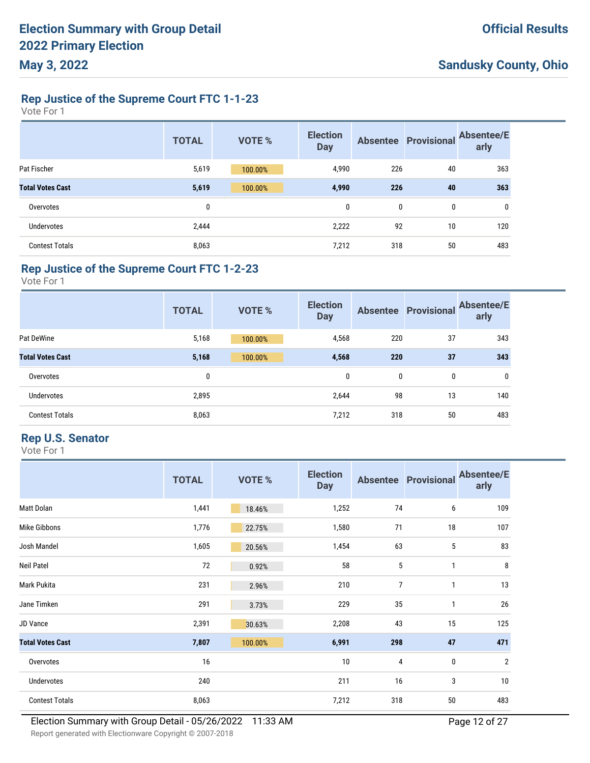#### **Rep Justice of the Supreme Court FTC 1-1-23**

Vote For 1

|                         | <b>TOTAL</b> | <b>VOTE %</b> | <b>Election</b><br><b>Day</b> | <b>Absentee</b> | <b>Provisional</b> | <b>Absentee/E</b><br>arly |
|-------------------------|--------------|---------------|-------------------------------|-----------------|--------------------|---------------------------|
| Pat Fischer             | 5,619        | 100.00%       | 4,990                         | 226             | 40                 | 363                       |
| <b>Total Votes Cast</b> | 5,619        | 100.00%       | 4,990                         | 226             | 40                 | 363                       |
| Overvotes               | 0            |               | 0                             | 0               | 0                  | 0                         |
| <b>Undervotes</b>       | 2,444        |               | 2,222                         | 92              | 10                 | 120                       |
| <b>Contest Totals</b>   | 8,063        |               | 7,212                         | 318             | 50                 | 483                       |

#### **Rep Justice of the Supreme Court FTC 1-2-23**

Vote For 1

|                         | <b>TOTAL</b> | <b>VOTE %</b> | <b>Election</b><br><b>Day</b> |     | <b>Absentee Provisional</b> | <b>Absentee/E</b><br>arly |
|-------------------------|--------------|---------------|-------------------------------|-----|-----------------------------|---------------------------|
| Pat DeWine              | 5,168        | 100.00%       | 4,568                         | 220 | 37                          | 343                       |
| <b>Total Votes Cast</b> | 5,168        | 100.00%       | 4,568                         | 220 | 37                          | 343                       |
| Overvotes               | 0            |               | 0                             | 0   | 0                           | 0                         |
| Undervotes              | 2,895        |               | 2,644                         | 98  | 13                          | 140                       |
| <b>Contest Totals</b>   | 8,063        |               | 7,212                         | 318 | 50                          | 483                       |

#### **Rep U.S. Senator**

|                         | <b>TOTAL</b> | VOTE %  | <b>Election</b><br><b>Day</b> |     | <b>Absentee Provisional</b> | <b>Absentee/E</b><br>arly |
|-------------------------|--------------|---------|-------------------------------|-----|-----------------------------|---------------------------|
| Matt Dolan              | 1,441        | 18.46%  | 1,252                         | 74  | 6                           | 109                       |
| Mike Gibbons            | 1,776        | 22.75%  | 1,580                         | 71  | 18                          | 107                       |
| Josh Mandel             | 1,605        | 20.56%  | 1,454                         | 63  | 5                           | 83                        |
| Neil Patel              | 72           | 0.92%   | 58                            | 5   | 1                           | 8                         |
| Mark Pukita             | 231          | 2.96%   | 210                           | 7   | 1                           | 13                        |
| Jane Timken             | 291          | 3.73%   | 229                           | 35  | 1                           | 26                        |
| JD Vance                | 2,391        | 30.63%  | 2,208                         | 43  | 15                          | 125                       |
| <b>Total Votes Cast</b> | 7,807        | 100.00% | 6,991                         | 298 | 47                          | 471                       |
| Overvotes               | 16           |         | 10                            | 4   | $\pmb{0}$                   | $\overline{2}$            |
| Undervotes              | 240          |         | 211                           | 16  | 3                           | 10                        |
| <b>Contest Totals</b>   | 8,063        |         | 7,212                         | 318 | 50                          | 483                       |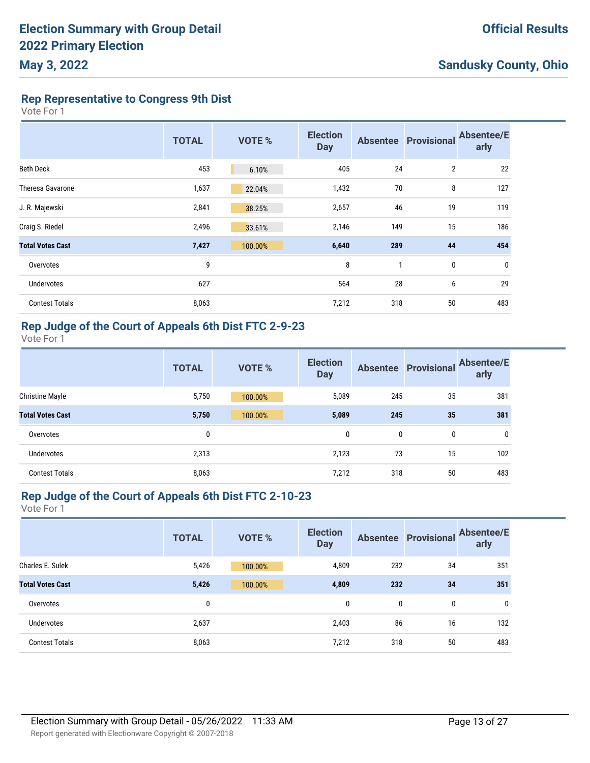**Rep Representative to Congress 9th Dist**

Vote For 1

|                         | <b>TOTAL</b> | <b>VOTE %</b> | <b>Election</b><br><b>Day</b> |     | <b>Absentee Provisional</b> | <b>Absentee/E</b><br>arly |
|-------------------------|--------------|---------------|-------------------------------|-----|-----------------------------|---------------------------|
| <b>Beth Deck</b>        | 453          | 6.10%         | 405                           | 24  | $\overline{2}$              | 22                        |
| <b>Theresa Gavarone</b> | 1,637        | 22.04%        | 1,432                         | 70  | 8                           | 127                       |
| J. R. Majewski          | 2,841        | 38.25%        | 2,657                         | 46  | 19                          | 119                       |
| Craig S. Riedel         | 2,496        | 33.61%        | 2,146                         | 149 | 15                          | 186                       |
| <b>Total Votes Cast</b> | 7,427        | 100.00%       | 6,640                         | 289 | 44                          | 454                       |
| Overvotes               | 9            |               | 8                             | 1   | 0                           | $\boldsymbol{0}$          |
| Undervotes              | 627          |               | 564                           | 28  | 6                           | 29                        |
| <b>Contest Totals</b>   | 8,063        |               | 7,212                         | 318 | 50                          | 483                       |

### **Rep Judge of the Court of Appeals 6th Dist FTC 2-9-23**

Vote For 1

|                         | <b>TOTAL</b> | <b>VOTE %</b> | <b>Election</b><br><b>Day</b> |     | <b>Absentee Provisional</b> | <b>Absentee/E</b><br>arly |
|-------------------------|--------------|---------------|-------------------------------|-----|-----------------------------|---------------------------|
| <b>Christine Mayle</b>  | 5,750        | 100.00%       | 5,089                         | 245 | 35                          | 381                       |
| <b>Total Votes Cast</b> | 5,750        | 100.00%       | 5,089                         | 245 | 35                          | 381                       |
| Overvotes               | 0            |               | 0                             | 0   | 0                           | $\mathbf{0}$              |
| <b>Undervotes</b>       | 2,313        |               | 2,123                         | 73  | 15                          | 102                       |
| <b>Contest Totals</b>   | 8,063        |               | 7,212                         | 318 | 50                          | 483                       |

#### **Rep Judge of the Court of Appeals 6th Dist FTC 2-10-23**

|                         | <b>TOTAL</b> | <b>VOTE %</b> | <b>Election</b><br><b>Day</b> |     | <b>Absentee Provisional</b> | <b>Absentee/E</b><br>arly |
|-------------------------|--------------|---------------|-------------------------------|-----|-----------------------------|---------------------------|
| Charles E. Sulek        | 5,426        | 100.00%       | 4,809                         | 232 | 34                          | 351                       |
| <b>Total Votes Cast</b> | 5,426        | 100.00%       | 4,809                         | 232 | 34                          | 351                       |
| Overvotes               | 0            |               | 0                             | 0   | 0                           | 0                         |
| Undervotes              | 2,637        |               | 2,403                         | 86  | 16                          | 132                       |
| <b>Contest Totals</b>   | 8,063        |               | 7,212                         | 318 | 50                          | 483                       |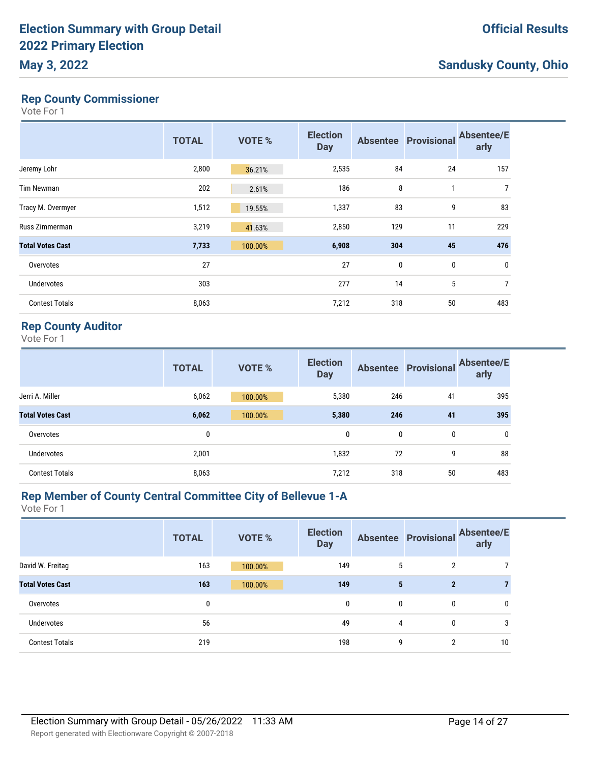#### **Rep County Commissioner**

Vote For 1

|                         | <b>TOTAL</b> | <b>VOTE %</b> | <b>Election</b><br><b>Day</b> | <b>Absentee</b>  | <b>Provisional</b> | <b>Absentee/E</b><br>arly |
|-------------------------|--------------|---------------|-------------------------------|------------------|--------------------|---------------------------|
| Jeremy Lohr             | 2,800        | 36.21%        | 2,535                         | 84               | 24                 | 157                       |
| <b>Tim Newman</b>       | 202          | 2.61%         | 186                           | 8                | 1                  | 7                         |
| Tracy M. Overmyer       | 1,512        | 19.55%        | 1,337                         | 83               | 9                  | 83                        |
| Russ Zimmerman          | 3,219        | 41.63%        | 2,850                         | 129              | 11                 | 229                       |
| <b>Total Votes Cast</b> | 7,733        | 100.00%       | 6,908                         | 304              | 45                 | 476                       |
| Overvotes               | 27           |               | 27                            | $\boldsymbol{0}$ | 0                  | $\bf{0}$                  |
| Undervotes              | 303          |               | 277                           | 14               | 5                  | $\overline{7}$            |
| <b>Contest Totals</b>   | 8,063        |               | 7,212                         | 318              | 50                 | 483                       |

#### **Rep County Auditor**

Vote For 1

|                         | <b>TOTAL</b> | <b>VOTE %</b> | <b>Election</b><br><b>Day</b> |     | <b>Absentee Provisional</b> | <b>Absentee/E</b><br>arly |
|-------------------------|--------------|---------------|-------------------------------|-----|-----------------------------|---------------------------|
| Jerri A. Miller         | 6,062        | 100.00%       | 5,380                         | 246 | 41                          | 395                       |
| <b>Total Votes Cast</b> | 6,062        | 100.00%       | 5,380                         | 246 | 41                          | 395                       |
| Overvotes               | 0            |               | 0                             | 0   | 0                           | 0                         |
| Undervotes              | 2,001        |               | 1,832                         | 72  | 9                           | 88                        |
| <b>Contest Totals</b>   | 8,063        |               | 7,212                         | 318 | 50                          | 483                       |

#### **Rep Member of County Central Committee City of Bellevue 1-A**

|                         | <b>TOTAL</b> | <b>VOTE %</b> | <b>Election</b><br><b>Day</b> |   |                | Absentee Provisional Absentee/E<br>arly |
|-------------------------|--------------|---------------|-------------------------------|---|----------------|-----------------------------------------|
| David W. Freitag        | 163          | 100.00%       | 149                           | 5 | $\overline{2}$ |                                         |
| <b>Total Votes Cast</b> | 163          | 100.00%       | 149                           | 5 | $\overline{2}$ |                                         |
| Overvotes               | 0            |               | 0                             | 0 | 0              | 0                                       |
| <b>Undervotes</b>       | 56           |               | 49                            | 4 | 0              | 3                                       |
| <b>Contest Totals</b>   | 219          |               | 198                           | 9 | $\overline{2}$ | 10                                      |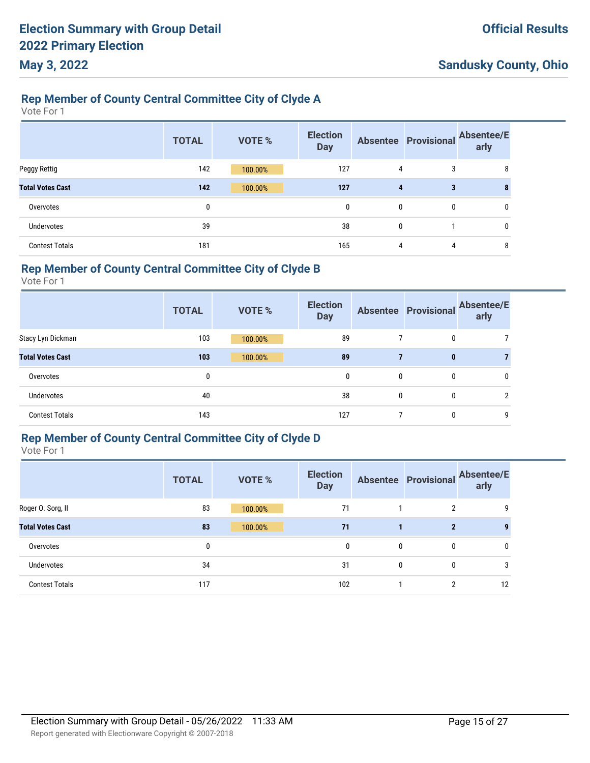### **Rep Member of County Central Committee City of Clyde A**

Vote For 1

|                         | <b>TOTAL</b> | <b>VOTE %</b> | <b>Election</b><br><b>Day</b> |              | <b>Absentee Provisional</b> | <b>Absentee/E</b><br>arly |
|-------------------------|--------------|---------------|-------------------------------|--------------|-----------------------------|---------------------------|
| Peggy Rettig            | 142          | 100.00%       | 127                           | 4            | 3                           | 8                         |
| <b>Total Votes Cast</b> | 142          | 100.00%       | 127                           | 4            | 3                           | 8                         |
| Overvotes               | 0            |               | 0                             | $\mathbf{0}$ | $\mathbf{0}$                | $\mathbf{0}$              |
| <b>Undervotes</b>       | 39           |               | 38                            | 0            |                             | $\mathbf{0}$              |
| <b>Contest Totals</b>   | 181          |               | 165                           | 4            | 4                           | 8                         |

### **Rep Member of County Central Committee City of Clyde B**

Vote For 1

|                         | <b>TOTAL</b> | <b>VOTE %</b> | <b>Election</b><br><b>Day</b> |   | <b>Absentee Provisional</b> | <b>Absentee/E</b><br>arly |
|-------------------------|--------------|---------------|-------------------------------|---|-----------------------------|---------------------------|
| Stacy Lyn Dickman       | 103          | 100.00%       | 89                            |   | 0                           |                           |
| <b>Total Votes Cast</b> | 103          | 100.00%       | 89                            |   | 0                           |                           |
| Overvotes               | $\mathbf{0}$ |               | 0                             | 0 | 0                           | 0                         |
| <b>Undervotes</b>       | 40           |               | 38                            | 0 | 0                           |                           |
| <b>Contest Totals</b>   | 143          |               | 127                           |   | 0                           | 9                         |

### **Rep Member of County Central Committee City of Clyde D**

|                         | <b>TOTAL</b> | <b>VOTE %</b> | <b>Election</b><br><b>Day</b> |   | <b>Absentee Provisional</b> | <b>Absentee/E</b><br>arly |
|-------------------------|--------------|---------------|-------------------------------|---|-----------------------------|---------------------------|
| Roger O. Sorg, II       | 83           | 100.00%       | 71                            |   | $\overline{2}$              | 9                         |
| <b>Total Votes Cast</b> | 83           | 100.00%       | 71                            |   | $\mathbf{2}$                |                           |
| Overvotes               | 0            |               | 0                             | 0 | 0                           | 0                         |
| Undervotes              | 34           |               | 31                            | 0 | 0                           | 3                         |
| <b>Contest Totals</b>   | 117          |               | 102                           |   | 2                           | 12                        |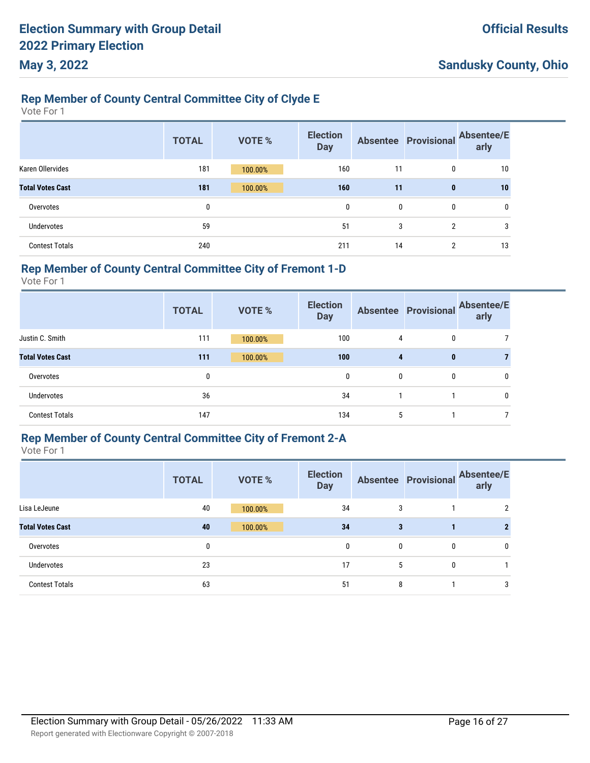### **Rep Member of County Central Committee City of Clyde E**

Vote For 1

|                         | <b>TOTAL</b> | <b>VOTE %</b> | <b>Election</b><br><b>Day</b> |    | <b>Absentee Provisional</b> | <b>Absentee/E</b><br>arly |
|-------------------------|--------------|---------------|-------------------------------|----|-----------------------------|---------------------------|
| Karen Ollervides        | 181          | 100.00%       | 160                           | 11 | 0                           | 10                        |
| <b>Total Votes Cast</b> | 181          | 100.00%       | 160                           | 11 | $\mathbf{0}$                | 10                        |
| Overvotes               | 0            |               | $\mathbf{0}$                  | 0  | 0                           | 0                         |
| <b>Undervotes</b>       | 59           |               | 51                            | 3  | 2                           | 3                         |
| <b>Contest Totals</b>   | 240          |               | 211                           | 14 | $\overline{2}$              | 13                        |

#### **Rep Member of County Central Committee City of Fremont 1-D**

Vote For 1

|                         | <b>TOTAL</b> | <b>VOTE %</b> | <b>Election</b><br><b>Day</b> |   |          | Absentee Provisional Absentee/E<br>arly |
|-------------------------|--------------|---------------|-------------------------------|---|----------|-----------------------------------------|
| Justin C. Smith         | 111          | 100.00%       | 100                           | 4 | 0        |                                         |
| <b>Total Votes Cast</b> | 111          | 100.00%       | 100                           | 4 | $\bf{0}$ |                                         |
| Overvotes               | 0            |               | 0                             | 0 | 0        | 0                                       |
| Undervotes              | 36           |               | 34                            |   |          |                                         |
| <b>Contest Totals</b>   | 147          |               | 134                           | 5 |          |                                         |

# **Rep Member of County Central Committee City of Fremont 2-A**

|                         | <b>TOTAL</b> | <b>VOTE %</b> | <b>Election</b><br><b>Day</b> |   | <b>Absentee Provisional</b> | <b>Absentee/E</b><br>arly |
|-------------------------|--------------|---------------|-------------------------------|---|-----------------------------|---------------------------|
| Lisa LeJeune            | 40           | 100.00%       | 34                            | 3 |                             | 2                         |
| <b>Total Votes Cast</b> | 40           | 100.00%       | 34                            | 3 |                             |                           |
| Overvotes               | 0            |               | 0                             | 0 | 0                           | 0                         |
| <b>Undervotes</b>       | 23           |               | 17                            | 5 | 0                           |                           |
| <b>Contest Totals</b>   | 63           |               | 51                            | 8 |                             | 3                         |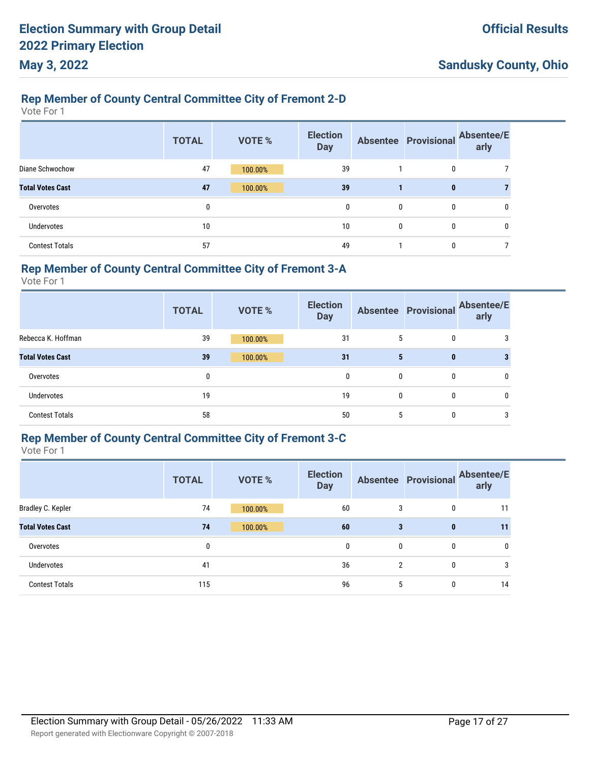#### **Rep Member of County Central Committee City of Fremont 2-D**

Vote For 1

|                         | <b>TOTAL</b> | <b>VOTE %</b> | <b>Election</b><br><b>Day</b> |              | <b>Absentee Provisional</b> | <b>Absentee/E</b><br>arly |
|-------------------------|--------------|---------------|-------------------------------|--------------|-----------------------------|---------------------------|
| Diane Schwochow         | 47           | 100.00%       | 39                            |              | 0                           |                           |
| <b>Total Votes Cast</b> | 47           | 100.00%       | 39                            |              | $\bf{0}$                    |                           |
| Overvotes               | 0            |               | $\mathbf{0}$                  | $\mathbf{0}$ | 0                           | 0                         |
| <b>Undervotes</b>       | 10           |               | 10                            | $\mathbf{0}$ | $\mathbf{0}$                | 0                         |
| <b>Contest Totals</b>   | 57           |               | 49                            |              | 0                           |                           |

#### **Rep Member of County Central Committee City of Fremont 3-A**

Vote For 1

|                         | <b>TOTAL</b> | <b>VOTE %</b> | <b>Election</b><br><b>Day</b> |   |   | Absentee Provisional Absentee/E<br>arly |
|-------------------------|--------------|---------------|-------------------------------|---|---|-----------------------------------------|
| Rebecca K. Hoffman      | 39           | 100.00%       | 31                            | 5 | 0 |                                         |
| <b>Total Votes Cast</b> | 39           | 100.00%       | 31                            | 5 | 0 |                                         |
| Overvotes               | 0            |               | 0                             | 0 | 0 |                                         |
| Undervotes              | 19           |               | 19                            | 0 | 0 |                                         |
| <b>Contest Totals</b>   | 58           |               | 50                            | 5 | 0 |                                         |

# **Rep Member of County Central Committee City of Fremont 3-C**

|                         | <b>TOTAL</b> | <b>VOTE %</b> | <b>Election</b><br><b>Day</b> |   | <b>Absentee Provisional</b> | <b>Absentee/E</b><br>arly |
|-------------------------|--------------|---------------|-------------------------------|---|-----------------------------|---------------------------|
| Bradley C. Kepler       | 74           | 100.00%       | 60                            | 3 | 0                           | 11                        |
| <b>Total Votes Cast</b> | 74           | 100.00%       | 60                            | 3 | $\bf{0}$                    | 11                        |
| Overvotes               | 0            |               | 0                             | 0 | 0                           | $\mathbf{0}$              |
| Undervotes              | 41           |               | 36                            | 2 | 0                           | 3                         |
| <b>Contest Totals</b>   | 115          |               | 96                            | 5 | 0                           | 14                        |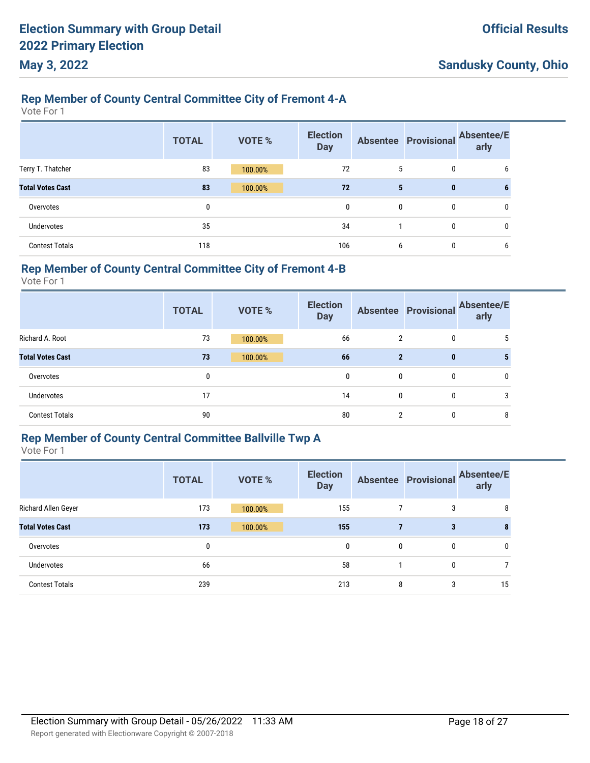#### **Rep Member of County Central Committee City of Fremont 4-A**

Vote For 1

|                         | <b>TOTAL</b> | VOTE %  | <b>Election</b><br><b>Day</b> |              | <b>Absentee Provisional</b> | <b>Absentee/E</b><br>arly |
|-------------------------|--------------|---------|-------------------------------|--------------|-----------------------------|---------------------------|
| Terry T. Thatcher       | 83           | 100.00% | 72                            | 5            | 0                           | 6                         |
| <b>Total Votes Cast</b> | 83           | 100.00% | 72                            | 5            | $\mathbf{0}$                | 6                         |
| Overvotes               | 0            |         | 0                             | $\mathbf{0}$ | 0                           | 0                         |
| Undervotes              | 35           |         | 34                            |              | $\mathbf{0}$                | 0                         |
| <b>Contest Totals</b>   | 118          |         | 106                           | 6            | 0                           | 6                         |

#### **Rep Member of County Central Committee City of Fremont 4-B**

Vote For 1

|                         | <b>TOTAL</b> | <b>VOTE %</b> | <b>Election</b><br><b>Day</b> |              |          | Absentee Provisional Absentee/E<br>arly |
|-------------------------|--------------|---------------|-------------------------------|--------------|----------|-----------------------------------------|
| Richard A. Root         | 73           | 100.00%       | 66                            | 2            | 0        |                                         |
| <b>Total Votes Cast</b> | 73           | 100.00%       | 66                            | $\mathbf{2}$ | $\bf{0}$ |                                         |
| Overvotes               | 0            |               | 0                             | 0            | 0        |                                         |
| Undervotes              | 17           |               | 14                            | 0            | 0        | 3                                       |
| <b>Contest Totals</b>   | 90           |               | 80                            | 2            | 0        | 8                                       |

### **Rep Member of County Central Committee Ballville Twp A**

|                         | <b>TOTAL</b> | <b>VOTE %</b> | <b>Election</b><br><b>Day</b> |   | <b>Absentee Provisional</b> | <b>Absentee/E</b><br>arly |
|-------------------------|--------------|---------------|-------------------------------|---|-----------------------------|---------------------------|
| Richard Allen Geyer     | 173          | 100.00%       | 155                           |   | 3                           | 8                         |
| <b>Total Votes Cast</b> | 173          | 100.00%       | 155                           | 7 | 3                           |                           |
| Overvotes               | 0            |               | 0                             | 0 | 0                           | 0                         |
| Undervotes              | 66           |               | 58                            |   | 0                           |                           |
| <b>Contest Totals</b>   | 239          |               | 213                           | 8 | 3                           | 15                        |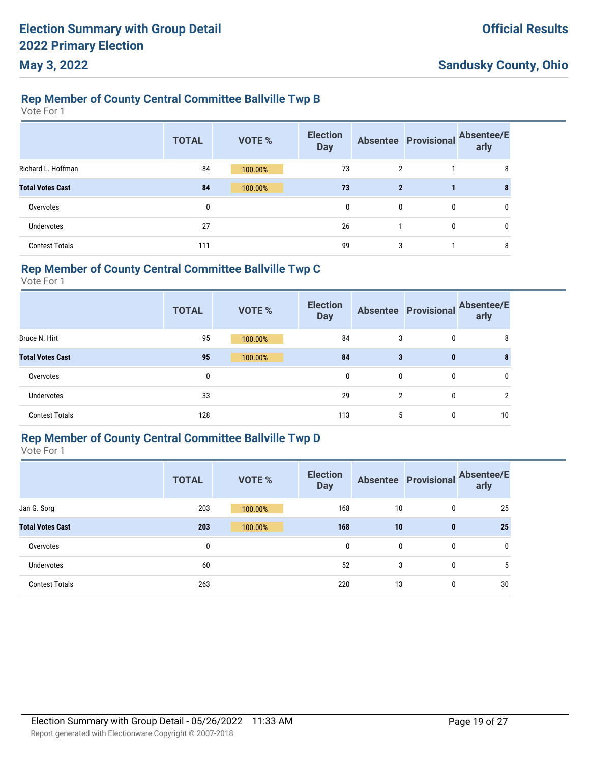### **Rep Member of County Central Committee Ballville Twp B**

Vote For 1

|                         | <b>TOTAL</b> | <b>VOTE %</b> | <b>Election</b><br><b>Day</b> |              | <b>Absentee Provisional</b> | <b>Absentee/E</b><br>arly |
|-------------------------|--------------|---------------|-------------------------------|--------------|-----------------------------|---------------------------|
| Richard L. Hoffman      | 84           | 100.00%       | 73                            | 2            |                             | 8                         |
| <b>Total Votes Cast</b> | 84           | 100.00%       | 73                            | $\mathbf{2}$ |                             |                           |
| Overvotes               | 0            |               | $\mathbf{0}$                  | $\mathbf{0}$ | $\mathbf{0}$                | $\mathbf{0}$              |
| <b>Undervotes</b>       | 27           |               | 26                            |              | $\mathbf{0}$                | $\mathbf{0}$              |
| <b>Contest Totals</b>   | 111          |               | 99                            | 3            |                             | 8                         |

#### **Rep Member of County Central Committee Ballville Twp C**

Vote For 1

|                         | <b>TOTAL</b> | <b>VOTE %</b> | <b>Election</b><br><b>Day</b> |   |   | Absentee Provisional Absentee/E<br>arly |
|-------------------------|--------------|---------------|-------------------------------|---|---|-----------------------------------------|
| Bruce N. Hirt           | 95           | 100.00%       | 84                            | 3 | 0 | 8                                       |
| <b>Total Votes Cast</b> | 95           | 100.00%       | 84                            | 3 | 0 |                                         |
| Overvotes               | 0            |               | 0                             | 0 | 0 | 0                                       |
| Undervotes              | 33           |               | 29                            | 2 | 0 | າ                                       |
| <b>Contest Totals</b>   | 128          |               | 113                           | 5 | 0 | 10                                      |

### **Rep Member of County Central Committee Ballville Twp D**

|                         | <b>TOTAL</b> | <b>VOTE %</b> | <b>Election</b><br><b>Day</b> |    | <b>Absentee Provisional</b> | <b>Absentee/E</b><br>arly |
|-------------------------|--------------|---------------|-------------------------------|----|-----------------------------|---------------------------|
| Jan G. Sorg             | 203          | 100.00%       | 168                           | 10 | 0                           | 25                        |
| <b>Total Votes Cast</b> | 203          | 100.00%       | 168                           | 10 | $\bf{0}$                    | 25                        |
| Overvotes               | 0            |               | 0                             | 0  | 0                           | 0                         |
| Undervotes              | 60           |               | 52                            | 3  | 0                           | 5                         |
| <b>Contest Totals</b>   | 263          |               | 220                           | 13 | 0                           | 30                        |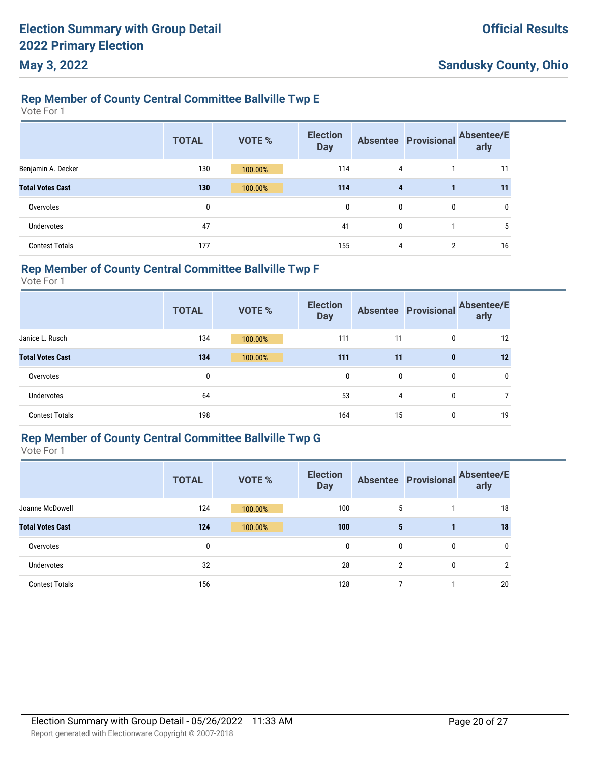### **Rep Member of County Central Committee Ballville Twp E**

Vote For 1

|                         | <b>TOTAL</b> | <b>VOTE %</b> | <b>Election</b><br><b>Day</b> |                         | <b>Absentee Provisional</b> | <b>Absentee/E</b><br>arly |
|-------------------------|--------------|---------------|-------------------------------|-------------------------|-----------------------------|---------------------------|
| Benjamin A. Decker      | 130          | 100.00%       | 114                           | 4                       |                             | 11                        |
| <b>Total Votes Cast</b> | 130          | 100.00%       | 114                           | $\overline{\mathbf{4}}$ |                             | 11                        |
| Overvotes               | 0            |               | 0                             | 0                       | 0                           | 0                         |
| Undervotes              | 47           |               | 41                            | 0                       |                             | 5                         |
| <b>Contest Totals</b>   | 177          |               | 155                           | 4                       | 2                           | 16                        |

#### **Rep Member of County Central Committee Ballville Twp F**

Vote For 1

|                         | <b>TOTAL</b> | <b>VOTE %</b> | <b>Election</b><br><b>Day</b> | <b>Absentee</b> | Provisional | <b>Absentee/E</b><br>arly |
|-------------------------|--------------|---------------|-------------------------------|-----------------|-------------|---------------------------|
| Janice L. Rusch         | 134          | 100.00%       | 111                           | 11              | 0           | 12                        |
| <b>Total Votes Cast</b> | 134          | 100.00%       | 111                           | 11              | $\bf{0}$    | 12                        |
| Overvotes               | 0            |               | 0                             | 0               | 0           | 0                         |
| <b>Undervotes</b>       | 64           |               | 53                            | 4               | 0           |                           |
| <b>Contest Totals</b>   | 198          |               | 164                           | 15              | 0           | 19                        |

### **Rep Member of County Central Committee Ballville Twp G**

|                         | <b>TOTAL</b> | <b>VOTE %</b> | <b>Election</b><br><b>Day</b> |                | <b>Absentee Provisional</b> | <b>Absentee/E</b><br>arly |
|-------------------------|--------------|---------------|-------------------------------|----------------|-----------------------------|---------------------------|
| Joanne McDowell         | 124          | 100.00%       | 100                           | 5              |                             | 18                        |
| <b>Total Votes Cast</b> | 124          | 100.00%       | 100                           | 5              |                             | 18                        |
| Overvotes               | 0            |               | 0                             | 0              | 0                           | $\mathbf{0}$              |
| <b>Undervotes</b>       | 32           |               | 28                            | $\overline{2}$ | 0                           | $\mathcal{P}$             |
| <b>Contest Totals</b>   | 156          |               | 128                           | ⇁              |                             | 20                        |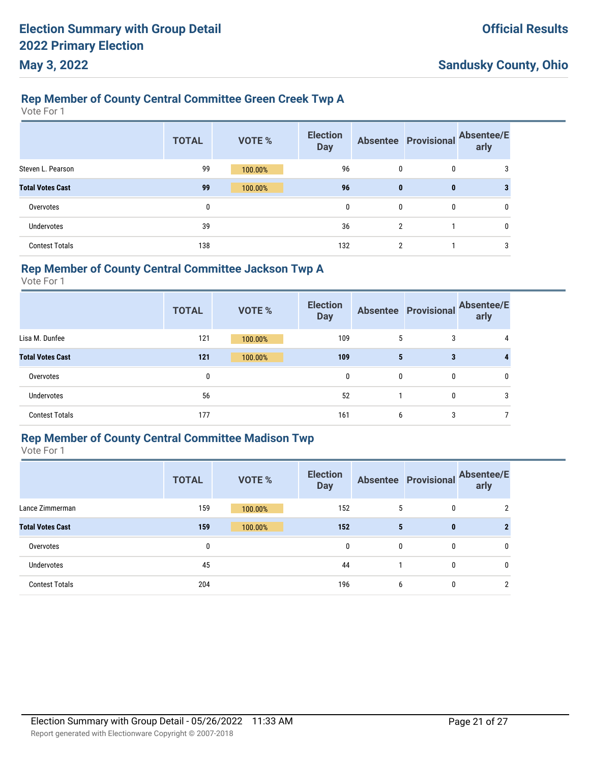### **Rep Member of County Central Committee Green Creek Twp A**

Vote For 1

|                         | <b>TOTAL</b> | <b>VOTE %</b> | <b>Election</b><br><b>Day</b> |                | <b>Absentee Provisional</b> | <b>Absentee/E</b><br>arly |
|-------------------------|--------------|---------------|-------------------------------|----------------|-----------------------------|---------------------------|
| Steven L. Pearson       | 99           | 100.00%       | 96                            | 0              | 0                           | 3                         |
| <b>Total Votes Cast</b> | 99           | 100.00%       | 96                            | $\mathbf{0}$   | $\bf{0}$                    | 3                         |
| Overvotes               | 0            |               | $\mathbf{0}$                  | 0              | 0                           | 0                         |
| Undervotes              | 39           |               | 36                            | $\mathfrak{p}$ |                             | 0                         |
| <b>Contest Totals</b>   | 138          |               | 132                           | 2              |                             | 3                         |

#### **Rep Member of County Central Committee Jackson Twp A**

Vote For 1

|                         | <b>TOTAL</b> | <b>VOTE %</b> | <b>Election</b><br><b>Day</b> |   | <b>Absentee Provisional</b> | <b>Absentee/E</b><br>arly |
|-------------------------|--------------|---------------|-------------------------------|---|-----------------------------|---------------------------|
| Lisa M. Dunfee          | 121          | 100.00%       | 109                           | 5 | 3                           |                           |
| <b>Total Votes Cast</b> | 121          | 100.00%       | 109                           | 5 | 3                           |                           |
| Overvotes               | 0            |               | 0                             | 0 | 0                           | $\mathbf{0}$              |
| Undervotes              | 56           |               | 52                            |   | $\mathbf{0}$                | 3                         |
| <b>Contest Totals</b>   | 177          |               | 161                           | 6 | 3                           |                           |

### **Rep Member of County Central Committee Madison Twp**

|                         | <b>TOTAL</b> | <b>VOTE %</b> | <b>Election</b><br><b>Day</b> |   | <b>Absentee Provisional</b> | <b>Absentee/E</b><br>arly |
|-------------------------|--------------|---------------|-------------------------------|---|-----------------------------|---------------------------|
| Lance Zimmerman         | 159          | 100.00%       | 152                           | 5 | 0                           | 2                         |
| <b>Total Votes Cast</b> | 159          | 100.00%       | 152                           | 5 | $\mathbf{0}$                |                           |
| Overvotes               | 0            |               | 0                             | 0 | 0                           | 0                         |
| <b>Undervotes</b>       | 45           |               | 44                            |   | 0                           | 0                         |
| <b>Contest Totals</b>   | 204          |               | 196                           | 6 | 0                           | $\overline{2}$            |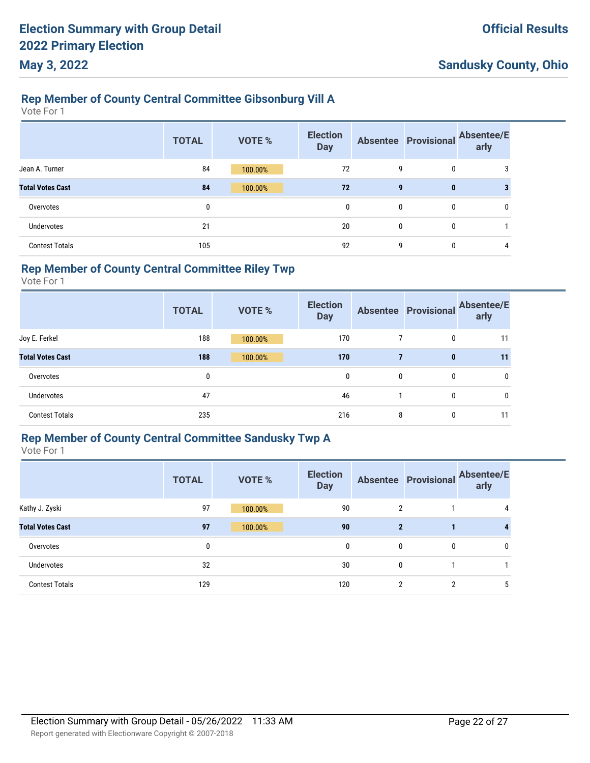### **Rep Member of County Central Committee Gibsonburg Vill A**

Vote For 1

|                         | <b>TOTAL</b> | <b>VOTE %</b> | <b>Election</b><br><b>Day</b> |              | <b>Absentee Provisional</b> | <b>Absentee/E</b><br>arly |
|-------------------------|--------------|---------------|-------------------------------|--------------|-----------------------------|---------------------------|
| Jean A. Turner          | 84           | 100.00%       | 72                            | 9            | 0                           | 3                         |
| <b>Total Votes Cast</b> | 84           | 100.00%       | 72                            | 9            | $\mathbf{0}$                | 3                         |
| Overvotes               | 0            |               | $\mathbf{0}$                  | $\mathbf{0}$ | 0                           | 0                         |
| <b>Undervotes</b>       | 21           |               | 20                            | $\mathbf{0}$ | 0                           |                           |
| <b>Contest Totals</b>   | 105          |               | 92                            | g            | 0                           | 4                         |

### **Rep Member of County Central Committee Riley Twp**

Vote For 1

|                         | <b>TOTAL</b> | <b>VOTE %</b> | <b>Election</b><br><b>Day</b> |   | <b>Absentee Provisional</b> | <b>Absentee/E</b><br>arly |
|-------------------------|--------------|---------------|-------------------------------|---|-----------------------------|---------------------------|
| Joy E. Ferkel           | 188          | 100.00%       | 170                           |   | 0                           | 11                        |
| <b>Total Votes Cast</b> | 188          | 100.00%       | 170                           | 7 | $\bf{0}$                    | 11                        |
| Overvotes               | 0            |               | $\mathbf{0}$                  | 0 | 0                           | 0                         |
| Undervotes              | 47           |               | 46                            |   | $\mathbf{0}$                | 0                         |
| <b>Contest Totals</b>   | 235          |               | 216                           | 8 | $\mathbf{0}$                | 11                        |

# **Rep Member of County Central Committee Sandusky Twp A**

|                         | <b>TOTAL</b> | <b>VOTE %</b> | <b>Election</b><br><b>Day</b> |              | <b>Absentee Provisional</b> | <b>Absentee/E</b><br>arly |
|-------------------------|--------------|---------------|-------------------------------|--------------|-----------------------------|---------------------------|
| Kathy J. Zyski          | 97           | 100.00%       | 90                            | 2            |                             | 4                         |
| <b>Total Votes Cast</b> | 97           | 100.00%       | 90                            | $\mathbf{2}$ |                             | 4                         |
| Overvotes               | 0            |               | 0                             | 0            | 0                           | 0                         |
| Undervotes              | 32           |               | 30                            | 0            |                             |                           |
| <b>Contest Totals</b>   | 129          |               | 120                           | 2            | 2                           | 5                         |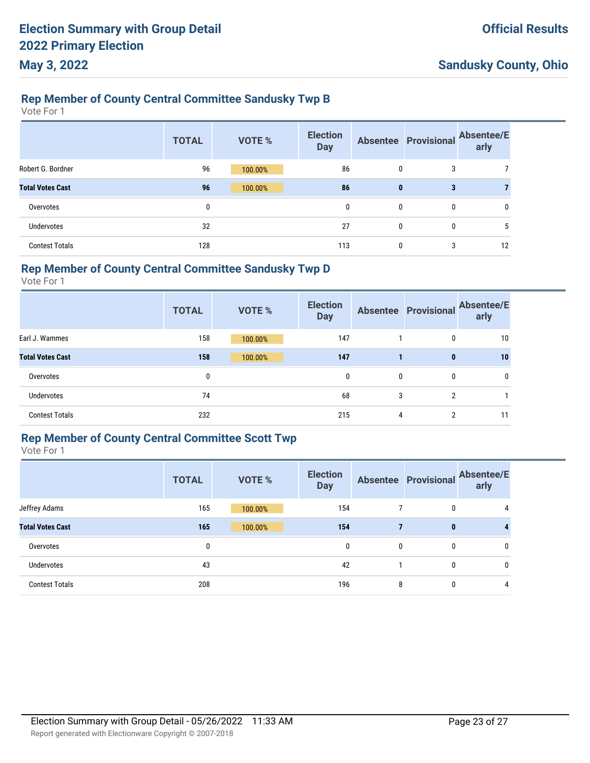### **Rep Member of County Central Committee Sandusky Twp B**

Vote For 1

|                         | <b>TOTAL</b> | <b>VOTE %</b> | <b>Election</b><br><b>Day</b> |              | <b>Absentee Provisional</b> | <b>Absentee/E</b><br>arly |
|-------------------------|--------------|---------------|-------------------------------|--------------|-----------------------------|---------------------------|
| Robert G. Bordner       | 96           | 100.00%       | 86                            | $\mathbf{0}$ | 3                           |                           |
| <b>Total Votes Cast</b> | 96           | 100.00%       | 86                            | $\bf{0}$     | 3                           |                           |
| Overvotes               | 0            |               | 0                             | $\mathbf{0}$ | 0                           | 0                         |
| <b>Undervotes</b>       | 32           |               | 27                            | $\mathbf{0}$ | 0                           | 5                         |
| <b>Contest Totals</b>   | 128          |               | 113                           | $\mathbf{0}$ | 3                           | 12                        |

### **Rep Member of County Central Committee Sandusky Twp D**

Vote For 1

|                         | <b>TOTAL</b> | <b>VOTE %</b> | <b>Election</b><br><b>Day</b> |   | <b>Absentee Provisional</b> | <b>Absentee/E</b><br>arly |
|-------------------------|--------------|---------------|-------------------------------|---|-----------------------------|---------------------------|
| Earl J. Wammes          | 158          | 100.00%       | 147                           |   | $\mathbf{0}$                | 10                        |
| <b>Total Votes Cast</b> | 158          | 100.00%       | 147                           |   | $\bf{0}$                    | 10                        |
| Overvotes               | 0            |               | 0                             | 0 | 0                           |                           |
| Undervotes              | 74           |               | 68                            | 3 | $\overline{2}$              |                           |
| <b>Contest Totals</b>   | 232          |               | 215                           | 4 | 2                           | 11                        |

#### **Rep Member of County Central Committee Scott Twp**

|                         | <b>TOTAL</b> | <b>VOTE %</b> | <b>Election</b><br><b>Day</b> |   | <b>Absentee Provisional</b> | <b>Absentee/E</b><br>arly |
|-------------------------|--------------|---------------|-------------------------------|---|-----------------------------|---------------------------|
| Jeffrey Adams           | 165          | 100.00%       | 154                           |   | 0                           | 4                         |
| <b>Total Votes Cast</b> | 165          | 100.00%       | 154                           | 7 | $\mathbf{0}$                | 4                         |
| Overvotes               | 0            |               | 0                             | 0 | 0                           | 0                         |
| <b>Undervotes</b>       | 43           |               | 42                            |   | 0                           | 0                         |
| <b>Contest Totals</b>   | 208          |               | 196                           | 8 | 0                           | 4                         |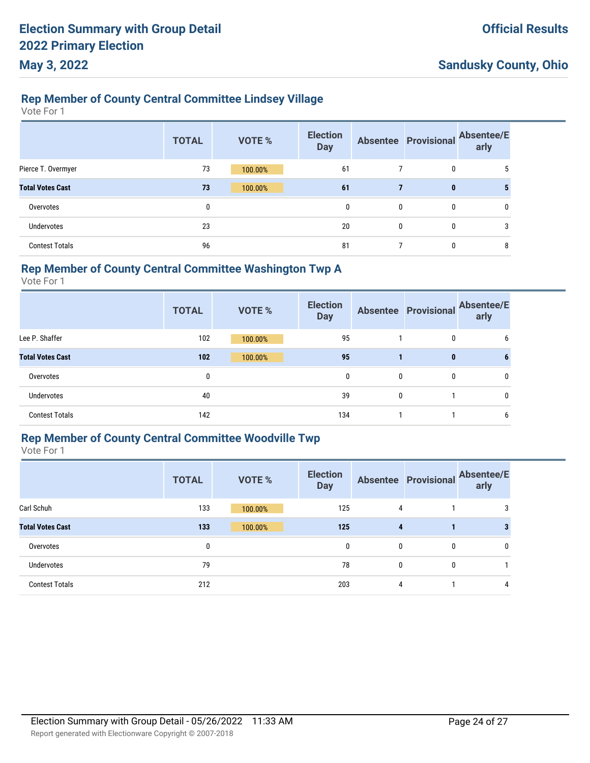### **Rep Member of County Central Committee Lindsey Village**

Vote For 1

|                         | <b>TOTAL</b> | <b>VOTE %</b> | <b>Election</b><br><b>Day</b> |              | <b>Absentee Provisional</b> | <b>Absentee/E</b><br>arly |
|-------------------------|--------------|---------------|-------------------------------|--------------|-----------------------------|---------------------------|
| Pierce T. Overmyer      | 73           | 100.00%       | 61                            |              | 0                           | 5                         |
| <b>Total Votes Cast</b> | 73           | 100.00%       | 61                            |              | $\mathbf 0$                 |                           |
| Overvotes               | 0            |               | 0                             | $\mathbf{0}$ | $\mathbf{0}$                | 0                         |
| Undervotes              | 23           |               | 20                            | $\mathbf{0}$ | $\mathbf{0}$                | 3                         |
| <b>Contest Totals</b>   | 96           |               | 81                            |              | 0                           | 8                         |

#### **Rep Member of County Central Committee Washington Twp A**

Vote For 1

|                         | <b>TOTAL</b> | <b>VOTE %</b> | <b>Election</b><br><b>Day</b> |   |              | Absentee Provisional Absentee/E<br>arly |
|-------------------------|--------------|---------------|-------------------------------|---|--------------|-----------------------------------------|
| Lee P. Shaffer          | 102          | 100.00%       | 95                            |   | 0            | n                                       |
| <b>Total Votes Cast</b> | 102          | 100.00%       | 95                            |   | 0            |                                         |
| Overvotes               | 0            |               | 0                             | 0 | $\mathbf{0}$ | 0                                       |
| Undervotes              | 40           |               | 39                            | 0 |              |                                         |
| <b>Contest Totals</b>   | 142          |               | 134                           |   |              | b                                       |

### **Rep Member of County Central Committee Woodville Twp**

|                         | <b>TOTAL</b> | <b>VOTE %</b> | <b>Election</b><br><b>Day</b> |   | <b>Absentee Provisional</b> | <b>Absentee/E</b><br>arly |
|-------------------------|--------------|---------------|-------------------------------|---|-----------------------------|---------------------------|
| Carl Schuh              | 133          | 100.00%       | 125                           | 4 |                             | 3                         |
| <b>Total Votes Cast</b> | 133          | 100.00%       | 125                           | 4 |                             |                           |
| Overvotes               | 0            |               | 0                             | 0 | 0                           | 0                         |
| <b>Undervotes</b>       | 79           |               | 78                            | 0 | 0                           |                           |
| <b>Contest Totals</b>   | 212          |               | 203                           | 4 |                             | 4                         |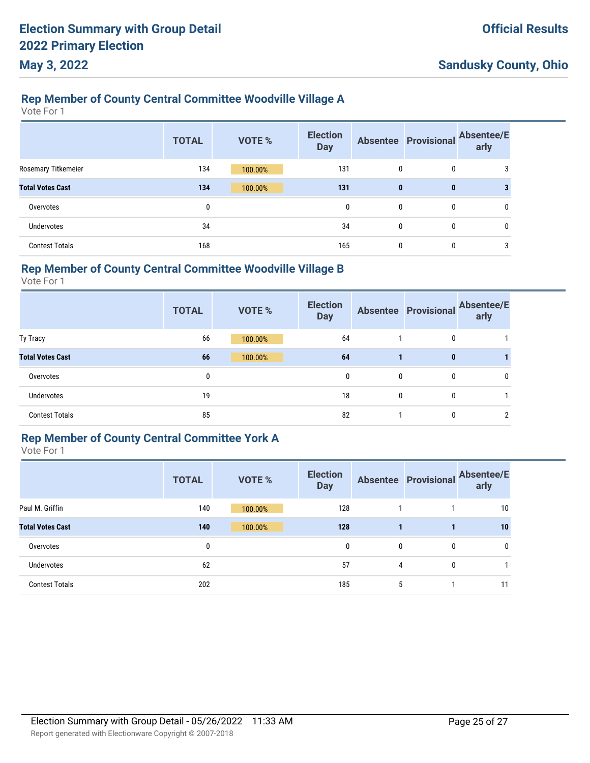#### **Rep Member of County Central Committee Woodville Village A**

Vote For 1

|                         | <b>TOTAL</b> | <b>VOTE %</b> | <b>Election</b><br><b>Day</b> |              | <b>Absentee Provisional</b> | <b>Absentee/E</b><br>arly |
|-------------------------|--------------|---------------|-------------------------------|--------------|-----------------------------|---------------------------|
| Rosemary Titkemeier     | 134          | 100.00%       | 131                           | $\mathbf{0}$ | 0                           | 3                         |
| <b>Total Votes Cast</b> | 134          | 100.00%       | 131                           | $\mathbf{0}$ | $\mathbf{0}$                | 3                         |
| Overvotes               | 0            |               | 0                             | $\mathbf{0}$ | 0                           | 0                         |
| <b>Undervotes</b>       | 34           |               | 34                            | $\mathbf{0}$ | $\mathbf{0}$                | 0                         |
| <b>Contest Totals</b>   | 168          |               | 165                           | $\mathbf{0}$ | 0                           | 3                         |

#### **Rep Member of County Central Committee Woodville Village B**

Vote For 1

|                         | <b>TOTAL</b> | <b>VOTE %</b> | <b>Election</b><br><b>Day</b> |   |   | Absentee Provisional Absentee/E<br>arly |
|-------------------------|--------------|---------------|-------------------------------|---|---|-----------------------------------------|
| Ty Tracy                | 66           | 100.00%       | 64                            |   | 0 |                                         |
| <b>Total Votes Cast</b> | 66           | 100.00%       | 64                            |   | 0 |                                         |
| Overvotes               | 0            |               | 0                             | 0 | 0 |                                         |
| Undervotes              | 19           |               | 18                            | 0 | 0 |                                         |
| <b>Contest Totals</b>   | 85           |               | 82                            |   | 0 |                                         |

#### **Rep Member of County Central Committee York A**

|                         | <b>TOTAL</b> | <b>VOTE %</b> | <b>Election</b><br><b>Day</b> |   | <b>Absentee Provisional</b> | <b>Absentee/E</b><br>arly |
|-------------------------|--------------|---------------|-------------------------------|---|-----------------------------|---------------------------|
| Paul M. Griffin         | 140          | 100.00%       | 128                           |   |                             | 10                        |
| <b>Total Votes Cast</b> | 140          | 100.00%       | 128                           | 1 | 1                           | 10                        |
| Overvotes               | 0            |               | 0                             | 0 | 0                           | 0                         |
| Undervotes              | 62           |               | 57                            | 4 | 0                           |                           |
| <b>Contest Totals</b>   | 202          |               | 185                           | 5 |                             | 11                        |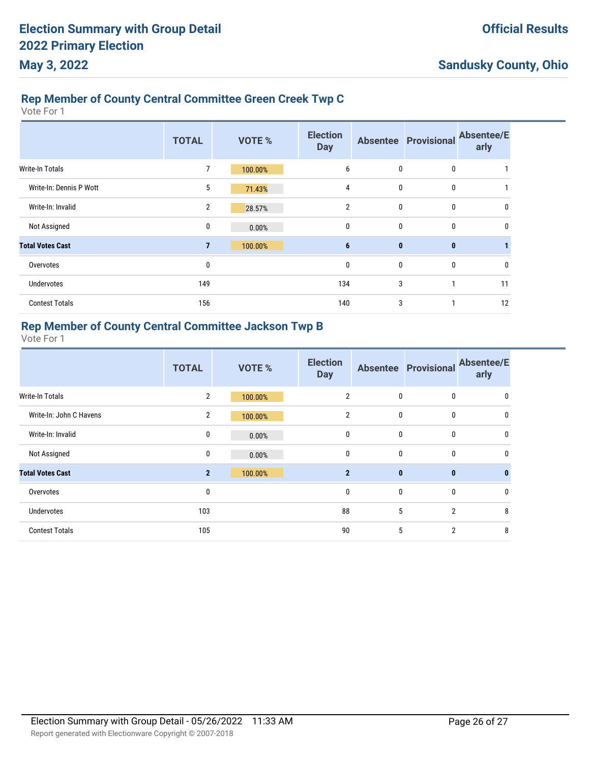### **Rep Member of County Central Committee Green Creek Twp C**

Vote For 1

|                         | <b>TOTAL</b>   | <b>VOTE %</b> | <b>Election</b><br><b>Day</b> |              | <b>Absentee Provisional</b> | <b>Absentee/E</b><br>arly |
|-------------------------|----------------|---------------|-------------------------------|--------------|-----------------------------|---------------------------|
| <b>Write-In Totals</b>  | 7              | 100.00%       | 6                             | 0            | 0                           |                           |
| Write-In: Dennis P Wott | 5              | 71.43%        | 4                             | 0            | 0                           |                           |
| Write-In: Invalid       | $\mathbf{2}$   | 28.57%        | $\overline{2}$                | 0            | $\mathbf 0$                 | 0                         |
| Not Assigned            | 0              | 0.00%         | $\mathbf{0}$                  | 0            | 0                           | <sup>0</sup>              |
| <b>Total Votes Cast</b> | $\overline{7}$ | 100.00%       | 6                             | $\mathbf{0}$ | $\mathbf{0}$                |                           |
| Overvotes               | 0              |               | 0                             | 0            | 0                           | 0                         |
| Undervotes              | 149            |               | 134                           | 3            | 1                           | 11                        |
| <b>Contest Totals</b>   | 156            |               | 140                           | 3            |                             | 12                        |

#### **Rep Member of County Central Committee Jackson Twp B**

|                         | <b>TOTAL</b>   | <b>VOTE %</b> | <b>Election</b><br><b>Day</b> |              | <b>Absentee Provisional</b> | <b>Absentee/E</b><br>arly |
|-------------------------|----------------|---------------|-------------------------------|--------------|-----------------------------|---------------------------|
| <b>Write-In Totals</b>  | $\overline{2}$ | 100.00%       | $\overline{2}$                | $\mathbf{0}$ | $\mathbf{0}$                | 0                         |
| Write-In: John C Havens | $\overline{2}$ | 100.00%       | $\overline{2}$                | $\bf{0}$     | $\mathbf 0$                 | 0                         |
| Write-In: Invalid       | $\pmb{0}$      | 0.00%         | $\mathbf 0$                   | $\bf{0}$     | $\mathbf 0$                 | 0                         |
| Not Assigned            | 0              | 0.00%         | $\mathbf 0$                   | $\bf{0}$     | $\mathbf 0$                 | 0                         |
| <b>Total Votes Cast</b> | $\overline{2}$ | 100.00%       | $\overline{2}$                | $\mathbf{0}$ | $\mathbf{0}$                | $\mathbf{0}$              |
| Overvotes               | 0              |               | $\mathbf 0$                   | $\bf{0}$     | $\mathbf 0$                 | 0                         |
| <b>Undervotes</b>       | 103            |               | 88                            | 5            | $\overline{2}$              | 8                         |
| <b>Contest Totals</b>   | 105            |               | 90                            | 5            | $\overline{2}$              | 8                         |